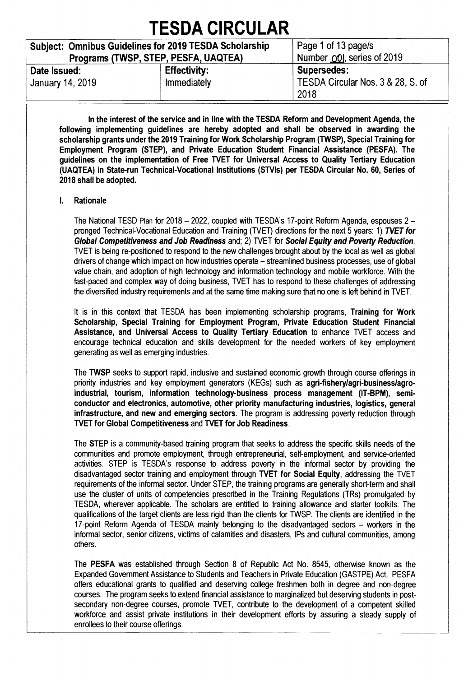| <b>Subject: Omnibus Guidelines for 2019 TESDA Scholarship</b><br>Programs (TWSP, STEP, PESFA, UAQTEA) |                                    | Page 1 of 13 page/s<br>Number 00 , series of 2019               |
|-------------------------------------------------------------------------------------------------------|------------------------------------|-----------------------------------------------------------------|
| Date Issued:<br>January 14, 2019                                                                      | <b>Effectivity:</b><br>Immediately | <b>Supersedes:</b><br>TESDA Circular Nos. 3 & 28, S. of<br>2018 |

**In the interest of the service and in line with the TESDA Reform and Development Agenda, the following implementing guidelines are hereby adopted and shall be observed in awarding the scholarship grants under the 2019 Training for Work Scholarship Program (TWSP), Special Training for Employment Program (STEP), and Private Education Student Financial Assistance (PESFA). The guidelines on the implementation of Free TVET for Universal Access to Quality Tertiary Education (UAQTEA) in State-run Technical-Vocational Institutions (STVIs) per TESDA Circular No. 60, Series of 2018 shall be adopted.** 

#### **I. Rationale**

**The National TESD Plan for 2018 — 2022, coupled with TESDA's 17-point Reform Agenda, espouses 2 pronged Technical-Vocational Education and Training (TVET) directions for the next 5 years: 1) TVET for Global Competitiveness and Job Readiness and; 2) TVET for Social Equity and Poverty Reduction. TVET is being re-positioned to respond to the new challenges brought about by the local as well as global drivers of change which impact on how industries operate — streamlined business processes, use of global value chain, and adoption of high technology and information technology and mobile workforce. With the fast-paced and complex way of doing business, WET has to respond to these challenges of addressing the diversified industry requirements and at the same time making sure that no one is left behind in TVET.** 

**It is in this context that TESDA has been implementing scholarship programs, Training for Work Scholarship, Special Training for Employment Program, Private Education Student Financial**  Assistance, and Universal Access to Quality Tertiary Education to enhance TVET access and **encourage technical education and skills development for the needed workers of key employment generating as well as emerging industries.** 

**The TWSP seeks to support rapid, inclusive and sustained economic growth through course offerings in priority industries and key employment generators (KEGs) such as agri-fishery/agri-business/agroindustrial, tourism, information technology-business process management (IT-BPM), semiconductor and electronics, automotive, other priority manufacturing industries, logistics, general infrastructure, and new and emerging sectors. The program is addressing poverty reduction through WET for Global Competitiveness and TVET for Job Readiness.** 

**The STEP is a community-based training program that seeks to address the specific skills needs of the communities and promote employment, through entrepreneurial, self-employment, and service-oriented activities. STEP is TESDA's response to address poverty in the informal sector by providing the disadvantaged sector training and employment through WET for Social Equity, addressing the TVET requirements of the informal sector. Under STEP, the training programs are generally short-term and shall use the cluster of units of competencies prescribed in the Training Regulations (TRs) promulgated by TESDA, wherever applicable. The scholars are entitled to training allowance and starter toolkits. The qualifications of the target clients are less rigid than the clients for TWSP. The clients are identified in the 17-point Reform Agenda of TESDA mainly belonging to the disadvantaged sectors — workers in the informal sector, senior citizens, victims of calamities and disasters, IPs and cultural communities, among others.** 

**The PESFA was established through Section 8 of Republic Act No. 8545, otherwise known as the Expanded Government Assistance to Students and Teachers in Private Education (GASTPE) Act. PESFA offers educational grants to qualified and deserving college freshmen both in degree and non-degree courses. The program seeks to extend financial assistance to marginalized but deserving students in post**secondary non-degree courses, promote TVET, contribute to the development of a competent skilled **workforce and assist private institutions in their development efforts by assuring a steady supply of enrollees to their course offerings.**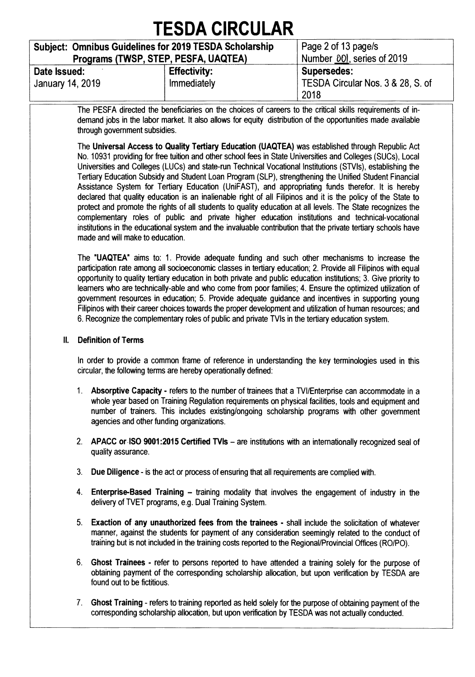|                                                                                                       | <b>TESDA CIRCULAR</b>              |                                                          |  |  |  |  |  |  |  |
|-------------------------------------------------------------------------------------------------------|------------------------------------|----------------------------------------------------------|--|--|--|--|--|--|--|
| <b>Subject: Omnibus Guidelines for 2019 TESDA Scholarship</b><br>Programs (TWSP, STEP, PESFA, UAQTEA) |                                    | Page 2 of 13 page/s<br>Number 00, series of 2019         |  |  |  |  |  |  |  |
| Date Issued:<br>January 14, 2019                                                                      | <b>Effectivity:</b><br>Immediately | Supersedes:<br>TESDA Circular Nos. 3 & 28, S. of<br>2018 |  |  |  |  |  |  |  |

**The PESFA directed the beneficiaries on the choices of careers to the critical skills requirements of indemand jobs in the labor market. It also allows for equity distribution of the opportunities made available through government subsidies.** 

**The Universal Access to Quality Tertiary Education (UAQTEA) was established through Republic Act No. 10931 providing for free tuition and other school fees in State Universities and Colleges (SUCs), Local Universities and Colleges (LUCs) and state-run Technical Vocational Institutions (STVIs), establishing the Tertiary Education Subsidy and Student Loan Program (SLP), strengthening the Unified Student Financial Assistance System for Tertiary Education (UniFAST), and appropriating funds therefor. It is hereby declared that quality education is an inalienable right of all Filipinos and it is the policy of the State to protect and promote the rights of all students to quality education at all levels. The State recognizes the complementary roles of public and private higher education institutions and technical-vocational institutions in the educational system and the invaluable contribution that the private tertiary schools have made and will make to education.** 

**The "UAQTEA" aims to: 1. Provide adequate funding and such other mechanisms to increase the participation rate among all socioeconomic classes in tertiary education; 2. Provide all Filipinos with equal opportunity to quality tertiary education in both private and public education institutions; 3. Give priority to learners who are technically-able and who come from poor families; 4. Ensure the optimized utilization of government resources in education; 5. Provide adequate guidance and incentives in supporting young Filipinos with their career choices towards the proper development and utilization of human resources; and 6. Recognize the complementary roles of public and private TVIs in the tertiary education system.** 

#### **II. Definition of Terms**

**In order to provide a common frame of reference in understanding the key terminologies used in this circular, the following terms are hereby operationally defined:** 

- **1. Absorptive Capacity refers to the number of trainees that a TVI/Enterprise can accommodate in a whole year based on Training Regulation requirements on physical facilities, tools and equipment and number of trainers. This includes existing/ongoing scholarship programs with other government agencies and other funding organizations.**
- **2. APACC or-ISO 9001:2015 Certified TVIs are institutions with an internationally recognized seal of quality assurance.**
- **3. Due Diligence is the act or process of ensuring that all requirements are complied with.**
- **4. Enterprise-Based Training training modality that involves the engagement of industry in the delivery of TVET programs, e.g. Dual Training System.**
- **5. Exaction of any unauthorized fees from the trainees shall include the solicitation of whatever manner, against the students for payment of any consideration seemingly related to the conduct of training but is not included in the training costs reported to the Regional/Provincial Offices (RO/P0).**
- **6. Ghost Trainees refer to persons reported to have attended a training solely for the purpose of obtaining payment of the corresponding scholarship allocation, but upon verification by TESDA are found out to be fictitious.**
- **7. Ghost Training refers to training reported as held solely for the purpose of obtaining payment of the corresponding scholarship allocation, but upon verification by TESDA was not actually conducted.**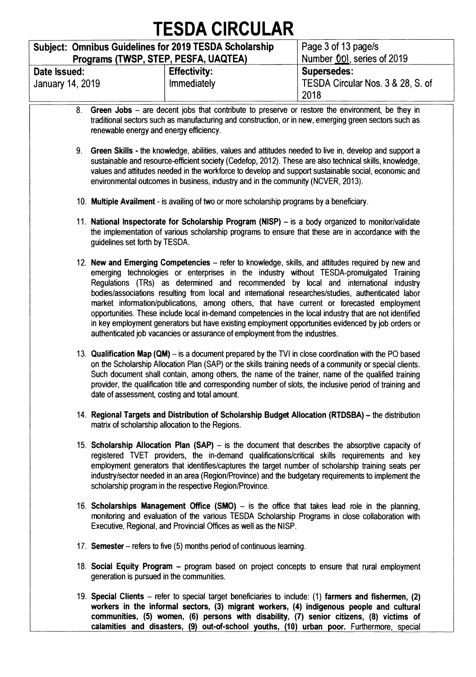#### **Subject: Omnibus Guidelines for 2019 TESDA Scholarship Programs (TWSP, STEP, PESFA, UAQTEA) Page 3 of 13 page/s Number 001, series of 2019 Date Issued: January 14, 2019 Effectivity: Immediately Supersedes: TESDA Circular Nos. 3 & 28, S. of 2018**

- **8. Green Jobs are decent jobs that contribute to preserve or restore the environment, be they in traditional sectors such as manufacturing and construction, or in new, emerging green sectors such as renewable energy and energy efficiency.**
- **9. Green Skills the knowledge, abilities, values and attitudes needed to live in, develop and support a sustainable and resource-efficient society (Cedefop, 2012). These are also technical skills, knowledge, values and attitudes needed in the workforce to develop and support sustainable social, economic and environmental outcomes in business, industry and in the community (NCVER, 2013).**
- **10. Multiple Availment is availing of two or more scholarship programs by a beneficiary.**
- **11. National Inspectorate for Scholarship Program (NISP) is a body organized to monitor/validate the implementation of various scholarship programs to ensure that these are in accordance with the guidelines set forth by TESDA.**
- **12. New and Emerging Competencies refer to knowledge, skills, and attitudes required by new and emerging technologies or enterprises in the industry without TESDA-promulgated Training Regulations (TRs) as determined and recommended by local and international industry bodies/associations resulting from local and international researches/studies, authenticated labor market information/publications, among others, that have current or forecasted employment opportunities. These include local in-demand competencies in the local industry that are not identified in key employment generators but have existing employment opportunities evidenced by job orders or authenticated job vacancies or assurance of employment from the industries.**
- 13. Qualification Map (QM) is a document prepared by the TVI in close coordination with the PO based **on the Scholarship Allocation Plan (SAP) or the skills training needs of a community or special clients. Such document shall contain, among others, the name of the trainer, name of the qualified training provider, the qualification title and corresponding number of slots, the inclusive period of training and date of assessment, costing and total amount.**
- **14. Regional Targets and Distribution of Scholarship Budget Allocation (RTDSBA) the distribution matrix of scholarship allocation to the Regions.**
- **15. Scholarship Allocation Plan (SAP) is the document that describes the absorptive capacity of registered WET providers, the in-demand qualifications/critical skills requirements and key employment generators that identifies/captures the target number of scholarship training seats per industry/sector needed in an area (Region/Province) and the budgetary requirements to implement the scholarship program in the respective Region/Province.**
- **16. Scholarships Management Office (SMO) is the office that takes lead role in the planning, monitoring and evaluation of the various TESDA Scholarship Programs in close collaboration with Executive, Regional, and Provincial Offices as well as the NISP.**
- **17. Semester refers to five (5) months period of continuous learning.**
- **18. Social Equity Program program based on project concepts to ensure that rural employment generation is pursued in the communities.**
- **19. Special Clients refer to special target beneficiaries to include: (1) farmers and fishermen, (2) workers in the informal sectors, (3) migrant workers, (4) indigenous people and cultural communities, (5) women, (6) persons with disability, (7) senior citizens, (8) victims of calamities and disasters, (9) out-of-school youths, (10) urban poor. Furthermore, special**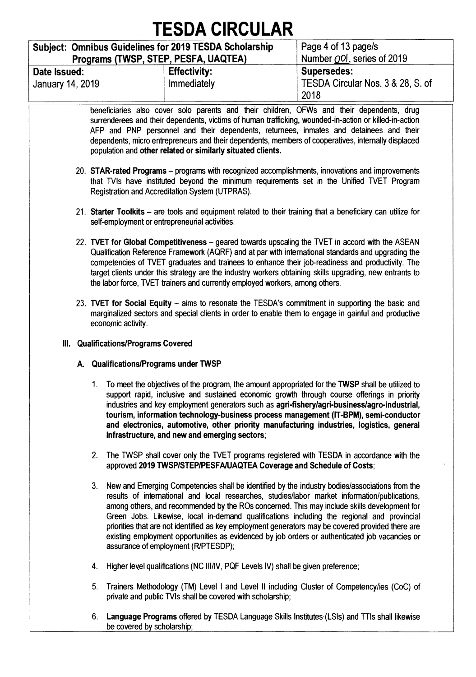|                                                               | I EJUA VIRUULAR                      |                                                                                           |  |  |  |  |  |  |  |
|---------------------------------------------------------------|--------------------------------------|-------------------------------------------------------------------------------------------|--|--|--|--|--|--|--|
| <b>Subject: Omnibus Guidelines for 2019 TESDA Scholarship</b> | Programs (TWSP, STEP, PESFA, UAQTEA) | Page 4 of 13 page/s<br>Number OOI, series of 2019                                         |  |  |  |  |  |  |  |
| Date Issued:<br>January 14, 2019                              | <b>Effectivity:</b><br>Immediately   | <b>Supersedes:</b><br>TESDA Circular Nos. 3 & 28, S. of<br>2018                           |  |  |  |  |  |  |  |
|                                                               |                                      | beneficiaries also cover solo parents and their children, OFWs and their dependents, drug |  |  |  |  |  |  |  |

**surrenderees and their dependents, victims of human trafficking, wounded-in-action or killed-in-action AFP and PNP personnel and their dependents, returnees, inmates and detainees and their dependents, micro entrepreneurs and their dependents, members of cooperatives, internally displaced population and other related or similarly situated clients.** 

- **20. STAR-rated Programs programs with recognized accomplishments, innovations and improvements**  that TVIs have instituted beyond the minimum requirements set in the Unified TVET Program **Registration and Accreditation System (UTPRAS).**
- **21. Starter Toolkits are tools and equipment related to their training that a beneficiary can utilize for self-employment or entrepreneurial activities.**
- **22. WET for Global Competitiveness geared towards upscaling the WET in accord with the ASEAN Qualification Reference Framework (AQRF) and at par with international standards and upgrading the competencies of WET graduates and trainees to enhance their job-readiness and productivity. The target clients under this strategy are the industry workers obtaining skills upgrading, new entrants to the labor force, WET trainers and currently employed workers, among others.**
- **23. WET for Social Equity aims to resonate the TESDA's commitment in supporting the basic and marginalized sectors and special clients in order to enable them to engage in gainful and productive economic activity.**
- **Ill. Qualifications/Programs Covered** 
	- **A. Qualifications/Programs under TWSP** 
		- **1. To meet the objectives of the program, the amount appropriated for the TWSP shall be utilized to support rapid, inclusive and sustained economic growth through course offerings in priority industries and key employment generators such as agri-fishery/agri-business/agro-industrial, tourism, information technology-business process management (IT-BPM), semi-conductor and electronics, automotive, other priority manufacturing industries, logistics, general infrastructure, and new and emerging sectors;**
		- 2. The TWSP shall cover only the TVET programs registered with TESDA in accordance with the **approved 2019 TWSP/STEP/PESFA/UAQTEA Coverage and Schedule of Costs;**
		- **3. New and Emerging Competencies shall be identified by the industry bodies/associations from the results of international and local researches, studies/labor market information/publications, among others, and recommended by the ROs concerned. This may include skills development for Green Jobs. Likewise, local in-demand qualifications including the regional and provincial priorities that are not identified as key employment generators may be covered provided there are existing employment opportunities as evidenced by job orders or authenticated job vacancies or assurance of employment (R/PTESDP);**
		- **4. Higher level qualifications (NC III/IV, PQF Levels IV) shall be given preference;**
		- **5. Trainers Methodology (TM) Level I and Level II including Cluster of Competency/ies (CoC) of private and public TVIs shall be covered with scholarship;**
		- **6. Language Programs offered by TESDA Language Skills Institutes-(LSIs) and TTIs shall likewise be covered by scholarship;**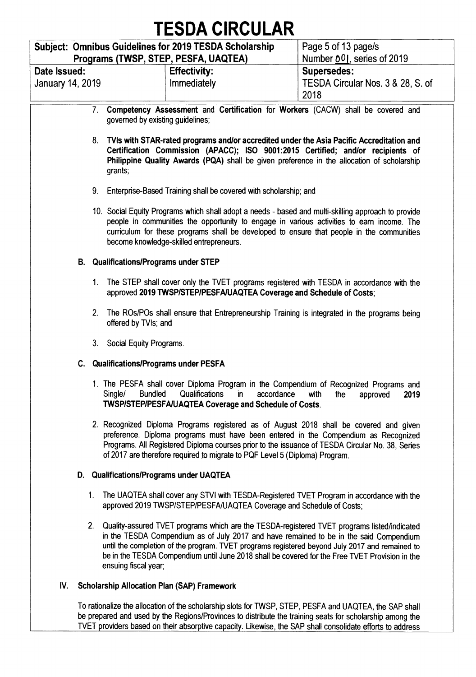|                                                                                                                                                                                                                                                                                                                                          |                                                                     | TESDA CIRCULAR                                                                                                                                                                                                                                                                                                                                                                            |                                           |  |  |  |  |  |  |  |  |  |  |
|------------------------------------------------------------------------------------------------------------------------------------------------------------------------------------------------------------------------------------------------------------------------------------------------------------------------------------------|---------------------------------------------------------------------|-------------------------------------------------------------------------------------------------------------------------------------------------------------------------------------------------------------------------------------------------------------------------------------------------------------------------------------------------------------------------------------------|-------------------------------------------|--|--|--|--|--|--|--|--|--|--|
|                                                                                                                                                                                                                                                                                                                                          |                                                                     | Subject: Omnibus Guidelines for 2019 TESDA Scholarship                                                                                                                                                                                                                                                                                                                                    | Page 5 of 13 page/s                       |  |  |  |  |  |  |  |  |  |  |
|                                                                                                                                                                                                                                                                                                                                          | Programs (TWSP, STEP, PESFA, UAQTEA)                                |                                                                                                                                                                                                                                                                                                                                                                                           | Number 001, series of 2019                |  |  |  |  |  |  |  |  |  |  |
| Date Issued:                                                                                                                                                                                                                                                                                                                             |                                                                     | <b>Effectivity:</b>                                                                                                                                                                                                                                                                                                                                                                       | <b>Supersedes:</b>                        |  |  |  |  |  |  |  |  |  |  |
| <b>January 14, 2019</b>                                                                                                                                                                                                                                                                                                                  |                                                                     | Immediately                                                                                                                                                                                                                                                                                                                                                                               | TESDA Circular Nos. 3 & 28, S. of<br>2018 |  |  |  |  |  |  |  |  |  |  |
|                                                                                                                                                                                                                                                                                                                                          | governed by existing guidelines;                                    | 7. Competency Assessment and Certification for Workers (CACW) shall be covered and                                                                                                                                                                                                                                                                                                        |                                           |  |  |  |  |  |  |  |  |  |  |
|                                                                                                                                                                                                                                                                                                                                          | grants;                                                             | 8. TVIs with STAR-rated programs and/or accredited under the Asia Pacific Accreditation and<br>Certification Commission (APACC); ISO 9001:2015 Certified; and/or recipients of<br>Philippine Quality Awards (PQA) shall be given preference in the allocation of scholarship                                                                                                              |                                           |  |  |  |  |  |  |  |  |  |  |
|                                                                                                                                                                                                                                                                                                                                          | 9. Enterprise-Based Training shall be covered with scholarship; and |                                                                                                                                                                                                                                                                                                                                                                                           |                                           |  |  |  |  |  |  |  |  |  |  |
| 10. Social Equity Programs which shall adopt a needs - based and multi-skilling approach to provide<br>people in communities the opportunity to engage in various activities to earn income. The<br>curriculum for these programs shall be developed to ensure that people in the communities<br>become knowledge-skilled entrepreneurs. |                                                                     |                                                                                                                                                                                                                                                                                                                                                                                           |                                           |  |  |  |  |  |  |  |  |  |  |
|                                                                                                                                                                                                                                                                                                                                          | <b>B.</b> Qualifications/Programs under STEP                        |                                                                                                                                                                                                                                                                                                                                                                                           |                                           |  |  |  |  |  |  |  |  |  |  |
|                                                                                                                                                                                                                                                                                                                                          |                                                                     | 1. The STEP shall cover only the TVET programs registered with TESDA in accordance with the<br>approved 2019 TWSP/STEP/PESFA/UAQTEA Coverage and Schedule of Costs;                                                                                                                                                                                                                       |                                           |  |  |  |  |  |  |  |  |  |  |
|                                                                                                                                                                                                                                                                                                                                          | offered by TVIs; and                                                | 2. The ROs/POs shall ensure that Entrepreneurship Training is integrated in the programs being                                                                                                                                                                                                                                                                                            |                                           |  |  |  |  |  |  |  |  |  |  |
|                                                                                                                                                                                                                                                                                                                                          | 3. Social Equity Programs.                                          |                                                                                                                                                                                                                                                                                                                                                                                           |                                           |  |  |  |  |  |  |  |  |  |  |
|                                                                                                                                                                                                                                                                                                                                          | C. Qualifications/Programs under PESFA                              |                                                                                                                                                                                                                                                                                                                                                                                           |                                           |  |  |  |  |  |  |  |  |  |  |
|                                                                                                                                                                                                                                                                                                                                          | <b>Bundled</b><br>Single/                                           | 1. The PESFA shall cover Diploma Program in the Compendium of Recognized Programs and<br>Qualifications<br>accordance<br>in.<br>TWSP/STEP/PESFA/UAQTEA Coverage and Schedule of Costs.                                                                                                                                                                                                    | with<br>the<br>2019<br>approved           |  |  |  |  |  |  |  |  |  |  |
|                                                                                                                                                                                                                                                                                                                                          |                                                                     | 2. Recognized Diploma Programs registered as of August 2018 shall be covered and given<br>preference. Diploma programs must have been entered in the Compendium as Recognized<br>Programs. All Registered Diploma courses prior to the issuance of TESDA Circular No. 38, Series<br>of 2017 are therefore required to migrate to PQF Level 5 (Diploma) Program.                           |                                           |  |  |  |  |  |  |  |  |  |  |
|                                                                                                                                                                                                                                                                                                                                          | D. Qualifications/Programs under UAQTEA                             |                                                                                                                                                                                                                                                                                                                                                                                           |                                           |  |  |  |  |  |  |  |  |  |  |
| 1.                                                                                                                                                                                                                                                                                                                                       |                                                                     | The UAQTEA shall cover any STVI with TESDA-Registered TVET Program in accordance with the<br>approved 2019 TWSP/STEP/PESFA/UAQTEA Coverage and Schedule of Costs;                                                                                                                                                                                                                         |                                           |  |  |  |  |  |  |  |  |  |  |
| 2.                                                                                                                                                                                                                                                                                                                                       | ensuing fiscal year;                                                | Quality-assured TVET programs which are the TESDA-registered TVET programs listed/indicated<br>in the TESDA Compendium as of July 2017 and have remained to be in the said Compendium<br>until the completion of the program. TVET programs registered beyond July 2017 and remained to<br>be in the TESDA Compendium until June 2018 shall be covered for the Free TVET Provision in the |                                           |  |  |  |  |  |  |  |  |  |  |
| IV.                                                                                                                                                                                                                                                                                                                                      | <b>Scholarship Allocation Plan (SAP) Framework</b>                  |                                                                                                                                                                                                                                                                                                                                                                                           |                                           |  |  |  |  |  |  |  |  |  |  |
|                                                                                                                                                                                                                                                                                                                                          |                                                                     | To rationalize the allocation of the scholarship slots for TWSP, STEP, PESFA and UAQTEA, the SAP shall<br>be prepared and used by the Peginns/Provinces to distribute the training seats for scholarship among the                                                                                                                                                                        |                                           |  |  |  |  |  |  |  |  |  |  |

**be prepared and used by the Regions/Provinces to distribute the training seats for scholarship among the WET providers based on their absorptive capacity. Likewise, the SAP shall consolidate efforts to address**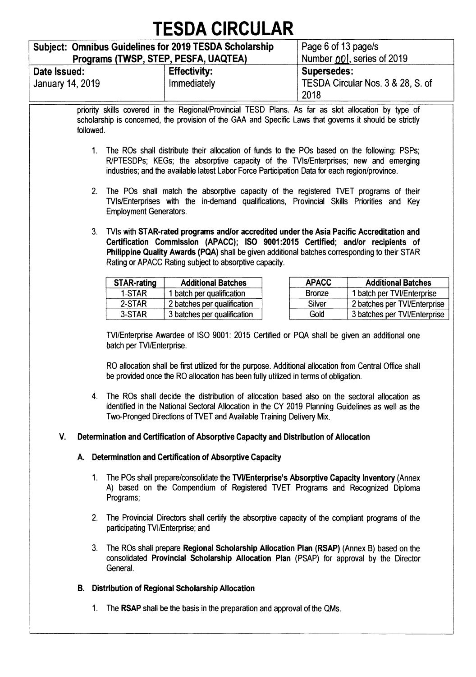|                                                                                                                                                                                                                                                                                                                                           |                                                                                                                                                                                                                                                                                    | <b>TESDA CIRCULAR</b>                                                                                                                                                                                                                                                                      |                                   |                              |  |  |  |  |  |  |  |  |  |  |
|-------------------------------------------------------------------------------------------------------------------------------------------------------------------------------------------------------------------------------------------------------------------------------------------------------------------------------------------|------------------------------------------------------------------------------------------------------------------------------------------------------------------------------------------------------------------------------------------------------------------------------------|--------------------------------------------------------------------------------------------------------------------------------------------------------------------------------------------------------------------------------------------------------------------------------------------|-----------------------------------|------------------------------|--|--|--|--|--|--|--|--|--|--|
|                                                                                                                                                                                                                                                                                                                                           |                                                                                                                                                                                                                                                                                    | <b>Subject: Omnibus Guidelines for 2019 TESDA Scholarship</b>                                                                                                                                                                                                                              | Page 6 of 13 page/s               |                              |  |  |  |  |  |  |  |  |  |  |
|                                                                                                                                                                                                                                                                                                                                           | Programs (TWSP, STEP, PESFA, UAQTEA)                                                                                                                                                                                                                                               |                                                                                                                                                                                                                                                                                            | Number 001, series of 2019        |                              |  |  |  |  |  |  |  |  |  |  |
| Date Issued:                                                                                                                                                                                                                                                                                                                              |                                                                                                                                                                                                                                                                                    | <b>Supersedes:</b>                                                                                                                                                                                                                                                                         |                                   |                              |  |  |  |  |  |  |  |  |  |  |
| <b>January 14, 2019</b>                                                                                                                                                                                                                                                                                                                   |                                                                                                                                                                                                                                                                                    | Immediately                                                                                                                                                                                                                                                                                | TESDA Circular Nos. 3 & 28, S. of |                              |  |  |  |  |  |  |  |  |  |  |
| priority skills covered in the Regional/Provincial TESD Plans. As far as slot allocation by type of<br>scholarship is concerned, the provision of the GAA and Specific Laws that governs it should be strictly<br>followed.<br>$1_{\cdot}$                                                                                                |                                                                                                                                                                                                                                                                                    |                                                                                                                                                                                                                                                                                            |                                   |                              |  |  |  |  |  |  |  |  |  |  |
|                                                                                                                                                                                                                                                                                                                                           | The ROs shall distribute their allocation of funds to the POs based on the following: PSPs;<br>R/PTESDPs; KEGs; the absorptive capacity of the TVIs/Enterprises; new and emerging<br>industries; and the available latest Labor Force Participation Data for each region/province. |                                                                                                                                                                                                                                                                                            |                                   |                              |  |  |  |  |  |  |  |  |  |  |
|                                                                                                                                                                                                                                                                                                                                           | 2. The POs shall match the absorptive capacity of the registered TVET programs of their<br>TVIs/Enterprises with the in-demand qualifications, Provincial Skills Priorities and Key<br><b>Employment Generators.</b>                                                               |                                                                                                                                                                                                                                                                                            |                                   |                              |  |  |  |  |  |  |  |  |  |  |
| 3. TVIs with STAR-rated programs and/or accredited under the Asia Pacific Accreditation and<br>Certification Commission (APACC); ISO 9001:2015 Certified; and/or recipients of<br>Philippine Quality Awards (PQA) shall be given additional batches corresponding to their STAR<br>Rating or APACC Rating subject to absorptive capacity. |                                                                                                                                                                                                                                                                                    |                                                                                                                                                                                                                                                                                            |                                   |                              |  |  |  |  |  |  |  |  |  |  |
|                                                                                                                                                                                                                                                                                                                                           | <b>STAR-rating</b>                                                                                                                                                                                                                                                                 | <b>Additional Batches</b>                                                                                                                                                                                                                                                                  | <b>APACC</b>                      | <b>Additional Batches</b>    |  |  |  |  |  |  |  |  |  |  |
|                                                                                                                                                                                                                                                                                                                                           | 1-STAR                                                                                                                                                                                                                                                                             | 1 batch per qualification                                                                                                                                                                                                                                                                  | <b>Bronze</b>                     | 1 batch per TVI/Enterprise   |  |  |  |  |  |  |  |  |  |  |
|                                                                                                                                                                                                                                                                                                                                           | 2-STAR                                                                                                                                                                                                                                                                             | 2 batches per qualification                                                                                                                                                                                                                                                                | Silver                            | 2 batches per TVI/Enterprise |  |  |  |  |  |  |  |  |  |  |
|                                                                                                                                                                                                                                                                                                                                           | 3-STAR                                                                                                                                                                                                                                                                             | 3 batches per qualification                                                                                                                                                                                                                                                                | Gold                              | 3 batches per TVI/Enterprise |  |  |  |  |  |  |  |  |  |  |
|                                                                                                                                                                                                                                                                                                                                           | batch per TVI/Enterprise.                                                                                                                                                                                                                                                          | TVI/Enterprise Awardee of ISO 9001: 2015 Certified or PQA shall be given an additional one<br>RO allocation shall be first utilized for the purpose. Additional allocation from Central Office shall<br>be provided once the RO allocation has been fully utilized in terms of obligation. |                                   |                              |  |  |  |  |  |  |  |  |  |  |
|                                                                                                                                                                                                                                                                                                                                           |                                                                                                                                                                                                                                                                                    | 4. The ROs shall decide the distribution of allocation based also on the sectoral allocation as<br>identified in the National Sectoral Allocation in the CY 2019 Planning Guidelines as well as the<br>Two-Pronged Directions of TVET and Available Training Delivery Mix.                 |                                   |                              |  |  |  |  |  |  |  |  |  |  |
| V.                                                                                                                                                                                                                                                                                                                                        |                                                                                                                                                                                                                                                                                    | Determination and Certification of Absorptive Capacity and Distribution of Allocation                                                                                                                                                                                                      |                                   |                              |  |  |  |  |  |  |  |  |  |  |
|                                                                                                                                                                                                                                                                                                                                           |                                                                                                                                                                                                                                                                                    | A. Determination and Certification of Absorptive Capacity                                                                                                                                                                                                                                  |                                   |                              |  |  |  |  |  |  |  |  |  |  |
|                                                                                                                                                                                                                                                                                                                                           | Programs;                                                                                                                                                                                                                                                                          | 1. The POs shall prepare/consolidate the TVVEnterprise's Absorptive Capacity Inventory (Annex<br>A) based on the Compendium of Registered TVET Programs and Recognized Diploma                                                                                                             |                                   |                              |  |  |  |  |  |  |  |  |  |  |
|                                                                                                                                                                                                                                                                                                                                           | participating TVI/Enterprise; and                                                                                                                                                                                                                                                  | 2. The Provincial Directors shall certify the absorptive capacity of the compliant programs of the                                                                                                                                                                                         |                                   |                              |  |  |  |  |  |  |  |  |  |  |
|                                                                                                                                                                                                                                                                                                                                           | General.                                                                                                                                                                                                                                                                           | 3. The ROs shall prepare Regional Scholarship Allocation Plan (RSAP) (Annex B) based on the<br>consolidated Provincial Scholarship Allocation Plan (PSAP) for approval by the Director                                                                                                     |                                   |                              |  |  |  |  |  |  |  |  |  |  |
| В.                                                                                                                                                                                                                                                                                                                                        |                                                                                                                                                                                                                                                                                    | Distribution of Regional Scholarship Allocation                                                                                                                                                                                                                                            |                                   |                              |  |  |  |  |  |  |  |  |  |  |

**1. The RSAP shall be the basis in the preparation and approval of the QMs.**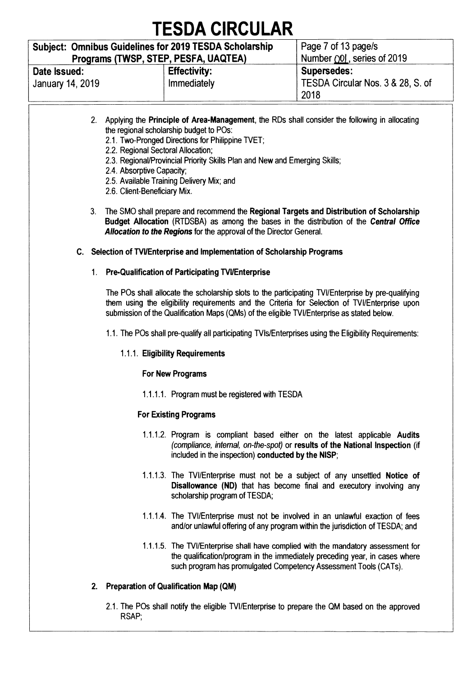#### **Subject: Omnibus Guidelines for 2019 TESDA Scholarship Programs (TWSP, STEP, PESFA, UAQTEA) Page 7 of 13 page/s Number**  $\bigcirc$ **0|**, series of 2019 **Date Issued: January 14, 2019 Effectivity: Immediately Supersedes: TESDA Circular Nos. 3 & 28, S. of 2018**

- **2. Applying the Principle of Area-Management, the RDs shall consider the following in allocating the regional scholarship budget to POs:** 
	- **2.1. Two-Pronged Directions for Philippine TVET;**
	- **2.2. Regional Sectoral Allocation;**
	- **2.3. Regional/Provincial Priority Skills Plan and New and Emerging Skills;**
	- **2.4. Absorptive Capacity;**
	- **2.5. Available Training Delivery Mix; and**
	- **2.6. Client-Beneficiary Mix.**
- **3. The SMO shall prepare and recommend the Regional Targets and Distribution of Scholarship Budget Allocation (RTDSBA) as among the bases in the distribution of the Central Office Allocation to the Regions for the approval of the Director General.**

#### **C. Selection of TVI/Enterprise and Implementation of Scholarship Programs**

#### **1. Pre-Qualification of Participating TVUEnterprise**

**The POs shall allocate the scholarship slots to the participating TVI/Enterprise by pre-qualifying them using the eligibility requirements and the Criteria for Selection of TVI/Enterprise upon submission of the Qualification Maps (QMs) of the eligible TVI/Enterprise as stated below.** 

**1.1. The POs shall pre-qualify all participating TVIs/Enterprises using the Eligibility Requirements:** 

#### **1.1.1. Eligibility Requirements**

#### **For New Programs**

**1.1.1.1. Program must be registered with TESDA** 

#### **For Existing Programs**

- **1.1.1.2. Program is compliant based either on the latest applicable Audits (compliance, internal, on-the-spot) or results of the National Inspection (if included in the inspection) conducted by the NISP;**
- **1.1.1.3. The TVI/Enterprise must not be a subject of any unsettled Notice of Disallowance (ND) that has become final and executory involving any scholarship program of TESDA;**
- **1.1.1.4. The TVI/Enterprise must not be involved in an unlawful exaction of fees and/or unlawful offering of any program within the jurisdiction of TESDA; and**
- **1.1.1.5. The TVI/Enterprise shall have complied with the mandatory assessment for the qualification/program in the immediately preceding year, in cases where such program has promulgated Competency Assessment Tools (CATs).**

#### **2. Preparation of Qualification Map (QM)**

**2.1. The POs shall notify the eligible TVI/Enterprise to prepare the QM based on the approved RSAP;**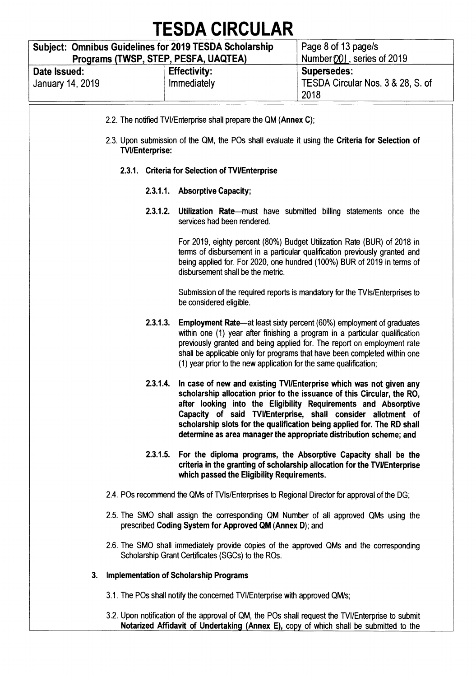| <b>Subject: Omnibus Guidelines for 2019 TESDA Scholarship</b> | Page 8 of 13 page/s                          |                                                                 |  |  |  |  |
|---------------------------------------------------------------|----------------------------------------------|-----------------------------------------------------------------|--|--|--|--|
| Programs (TWSP, STEP, PESFA, UAQTEA)                          | $\frac{1}{2}$ Number $[00]$ , series of 2019 |                                                                 |  |  |  |  |
| Date Issued:<br>January 14, 2019                              | <b>Effectivity:</b><br>Immediately           | <b>Supersedes:</b><br>TESDA Circular Nos. 3 & 28, S. of<br>2018 |  |  |  |  |

| 2.2. The notified TVI/Enterprise shall prepare the QM (Annex C);                                                                                                                                                                                                                                                                                                                                                                                                                                                                                                                                                                                                                                                                                                                                                                                                                                                                                                                                                                                                                                                                                                                                                                                                                                                                                                                                                                                                                                                                                                                                                                                                                                                                                                             |  |  |                                                                                                                                                |  |  |  |  |  |
|------------------------------------------------------------------------------------------------------------------------------------------------------------------------------------------------------------------------------------------------------------------------------------------------------------------------------------------------------------------------------------------------------------------------------------------------------------------------------------------------------------------------------------------------------------------------------------------------------------------------------------------------------------------------------------------------------------------------------------------------------------------------------------------------------------------------------------------------------------------------------------------------------------------------------------------------------------------------------------------------------------------------------------------------------------------------------------------------------------------------------------------------------------------------------------------------------------------------------------------------------------------------------------------------------------------------------------------------------------------------------------------------------------------------------------------------------------------------------------------------------------------------------------------------------------------------------------------------------------------------------------------------------------------------------------------------------------------------------------------------------------------------------|--|--|------------------------------------------------------------------------------------------------------------------------------------------------|--|--|--|--|--|
|                                                                                                                                                                                                                                                                                                                                                                                                                                                                                                                                                                                                                                                                                                                                                                                                                                                                                                                                                                                                                                                                                                                                                                                                                                                                                                                                                                                                                                                                                                                                                                                                                                                                                                                                                                              |  |  |                                                                                                                                                |  |  |  |  |  |
| 2.3. Upon submission of the QM, the POs shall evaluate it using the Criteria for Selection of<br><b>TVI/Enterprise:</b><br>2.3.1. Criteria for Selection of TVI/Enterprise<br>2.3.1.1. Absorptive Capacity;<br>2.3.1.2.<br>Utilization Rate—must have submitted billing statements once the<br>services had been rendered.<br>For 2019, eighty percent (80%) Budget Utilization Rate (BUR) of 2018 in<br>terms of disbursement in a particular qualification previously granted and<br>being applied for. For 2020, one hundred (100%) BUR of 2019 in terms of<br>disbursement shall be the metric.<br>Submission of the required reports is mandatory for the TVIs/Enterprises to<br>be considered eligible.<br>2.3.1.3.<br><b>Employment Rate—at least sixty percent (60%) employment of graduates</b><br>within one (1) year after finishing a program in a particular qualification<br>previously granted and being applied for. The report on employment rate<br>shall be applicable only for programs that have been completed within one<br>(1) year prior to the new application for the same qualification;<br>2.3.1.4.<br>In case of new and existing TVI/Enterprise which was not given any<br>scholarship allocation prior to the issuance of this Circular, the RO,<br>after looking into the Eligibility Requirements and Absorptive<br>Capacity of said TVI/Enterprise, shall consider allotment of<br>scholarship slots for the qualification being applied for. The RD shall<br>determine as area manager the appropriate distribution scheme; and<br>2.3.1.5.<br>For the diploma programs, the Absorptive Capacity shall be the<br>criteria in the granting of scholarship allocation for the TVI/Enterprise<br>which passed the Eligibility Requirements. |  |  |                                                                                                                                                |  |  |  |  |  |
|                                                                                                                                                                                                                                                                                                                                                                                                                                                                                                                                                                                                                                                                                                                                                                                                                                                                                                                                                                                                                                                                                                                                                                                                                                                                                                                                                                                                                                                                                                                                                                                                                                                                                                                                                                              |  |  |                                                                                                                                                |  |  |  |  |  |
|                                                                                                                                                                                                                                                                                                                                                                                                                                                                                                                                                                                                                                                                                                                                                                                                                                                                                                                                                                                                                                                                                                                                                                                                                                                                                                                                                                                                                                                                                                                                                                                                                                                                                                                                                                              |  |  |                                                                                                                                                |  |  |  |  |  |
|                                                                                                                                                                                                                                                                                                                                                                                                                                                                                                                                                                                                                                                                                                                                                                                                                                                                                                                                                                                                                                                                                                                                                                                                                                                                                                                                                                                                                                                                                                                                                                                                                                                                                                                                                                              |  |  |                                                                                                                                                |  |  |  |  |  |
|                                                                                                                                                                                                                                                                                                                                                                                                                                                                                                                                                                                                                                                                                                                                                                                                                                                                                                                                                                                                                                                                                                                                                                                                                                                                                                                                                                                                                                                                                                                                                                                                                                                                                                                                                                              |  |  |                                                                                                                                                |  |  |  |  |  |
|                                                                                                                                                                                                                                                                                                                                                                                                                                                                                                                                                                                                                                                                                                                                                                                                                                                                                                                                                                                                                                                                                                                                                                                                                                                                                                                                                                                                                                                                                                                                                                                                                                                                                                                                                                              |  |  |                                                                                                                                                |  |  |  |  |  |
|                                                                                                                                                                                                                                                                                                                                                                                                                                                                                                                                                                                                                                                                                                                                                                                                                                                                                                                                                                                                                                                                                                                                                                                                                                                                                                                                                                                                                                                                                                                                                                                                                                                                                                                                                                              |  |  |                                                                                                                                                |  |  |  |  |  |
|                                                                                                                                                                                                                                                                                                                                                                                                                                                                                                                                                                                                                                                                                                                                                                                                                                                                                                                                                                                                                                                                                                                                                                                                                                                                                                                                                                                                                                                                                                                                                                                                                                                                                                                                                                              |  |  |                                                                                                                                                |  |  |  |  |  |
|                                                                                                                                                                                                                                                                                                                                                                                                                                                                                                                                                                                                                                                                                                                                                                                                                                                                                                                                                                                                                                                                                                                                                                                                                                                                                                                                                                                                                                                                                                                                                                                                                                                                                                                                                                              |  |  | 2.4. POs recommend the QMs of TVIs/Enterprises to Regional Director for approval of the DG;                                                    |  |  |  |  |  |
|                                                                                                                                                                                                                                                                                                                                                                                                                                                                                                                                                                                                                                                                                                                                                                                                                                                                                                                                                                                                                                                                                                                                                                                                                                                                                                                                                                                                                                                                                                                                                                                                                                                                                                                                                                              |  |  | 2.5. The SMO shall assign the corresponding QM Number of all approved QMs using the<br>prescribed Coding System for Approved QM (Annex D); and |  |  |  |  |  |
|                                                                                                                                                                                                                                                                                                                                                                                                                                                                                                                                                                                                                                                                                                                                                                                                                                                                                                                                                                                                                                                                                                                                                                                                                                                                                                                                                                                                                                                                                                                                                                                                                                                                                                                                                                              |  |  |                                                                                                                                                |  |  |  |  |  |

**2.6. The SMO shall immediately provide copies of the approved QMs and the corresponding Scholarship Grant Certificates (SGCs) to the ROs.** 

#### **3. Implementation of Scholarship Programs**

- **3.1. The POs shall notify the concerned TVI/Enterprise with approved QM/s;**
- **3.2. Upon notification of the approval of QM, the POs shall request the TVI/Enterprise to submit Notarized Affidavit of Undertaking (Annex E), copy of which shall be submitted to the**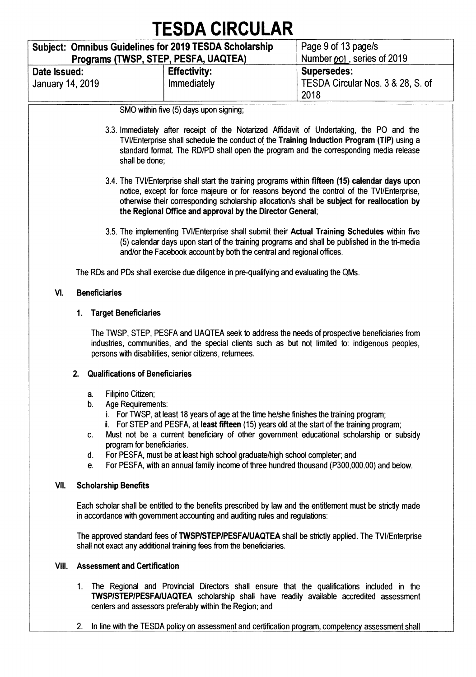|                                     | <b>TESDA CIRCULAR</b>                                                                                                                                                                                                                                                                                                                                                                                                                                                                                                                     | Page 9 of 13 page/s                                             |
|-------------------------------------|-------------------------------------------------------------------------------------------------------------------------------------------------------------------------------------------------------------------------------------------------------------------------------------------------------------------------------------------------------------------------------------------------------------------------------------------------------------------------------------------------------------------------------------------|-----------------------------------------------------------------|
|                                     | Subject: Omnibus Guidelines for 2019 TESDA Scholarship<br>Programs (TWSP, STEP, PESFA, UAQTEA)                                                                                                                                                                                                                                                                                                                                                                                                                                            | Number <i>pol.</i> , series of 2019                             |
| Date Issued:<br>January 14, 2019    | <b>Effectivity:</b><br>Immediately                                                                                                                                                                                                                                                                                                                                                                                                                                                                                                        | <b>Supersedes:</b><br>TESDA Circular Nos. 3 & 28, S. of<br>2018 |
|                                     | SMO within five (5) days upon signing;                                                                                                                                                                                                                                                                                                                                                                                                                                                                                                    |                                                                 |
|                                     | 3.3. Immediately after receipt of the Notarized Affidavit of Undertaking, the PO and the<br>TVI/Enterprise shall schedule the conduct of the Training Induction Program (TIP) using a<br>standard format. The RD/PD shall open the program and the corresponding media release<br>shall be done;                                                                                                                                                                                                                                          |                                                                 |
|                                     | 3.4. The TVI/Enterprise shall start the training programs within fifteen (15) calendar days upon<br>notice, except for force majeure or for reasons beyond the control of the TVI/Enterprise,<br>otherwise their corresponding scholarship allocation/s shall be subject for reallocation by<br>the Regional Office and approval by the Director General;                                                                                                                                                                                 |                                                                 |
|                                     | 3.5. The implementing TVI/Enterprise shall submit their Actual Training Schedules within five<br>(5) calendar days upon start of the training programs and shall be published in the tri-media<br>and/or the Facebook account by both the central and regional offices.                                                                                                                                                                                                                                                                   |                                                                 |
|                                     | The RDs and PDs shall exercise due diligence in pre-qualifying and evaluating the QMs.                                                                                                                                                                                                                                                                                                                                                                                                                                                    |                                                                 |
| VI.<br><b>Beneficiaries</b>         |                                                                                                                                                                                                                                                                                                                                                                                                                                                                                                                                           |                                                                 |
| 1.                                  | <b>Target Beneficiaries</b>                                                                                                                                                                                                                                                                                                                                                                                                                                                                                                               |                                                                 |
|                                     | The TWSP, STEP, PESFA and UAQTEA seek to address the needs of prospective beneficiaries from<br>industries, communities, and the special clients such as but not limited to: indigenous peoples,<br>persons with disabilities, senior citizens, returnees.                                                                                                                                                                                                                                                                                |                                                                 |
| 2.                                  | <b>Qualifications of Beneficiaries</b>                                                                                                                                                                                                                                                                                                                                                                                                                                                                                                    |                                                                 |
| a.<br>b.<br>C.<br>d.<br>е.          | Filipino Citizen;<br>Age Requirements:<br>i. For TWSP, at least 18 years of age at the time he/she finishes the training program;<br>ii. For STEP and PESFA, at least fifteen (15) years old at the start of the training program;<br>Must not be a current beneficiary of other government educational scholarship or subsidy<br>program for beneficiaries.<br>For PESFA, must be at least high school graduate/high school completer; and<br>For PESFA, with an annual family income of three hundred thousand (P300,000.00) and below. |                                                                 |
| VII.<br><b>Scholarship Benefits</b> |                                                                                                                                                                                                                                                                                                                                                                                                                                                                                                                                           |                                                                 |
|                                     | Each scholar shall be entitled to the benefits prescribed by law and the entitlement must be strictly made<br>in accordance with government accounting and auditing rules and regulations:                                                                                                                                                                                                                                                                                                                                                |                                                                 |
|                                     | The approved standard fees of TWSP/STEP/PESFA/UAQTEA shall be strictly applied. The TVI/Enterprise<br>shall not exact any additional training fees from the beneficiaries.                                                                                                                                                                                                                                                                                                                                                                |                                                                 |
| VIII.                               | <b>Assessment and Certification</b>                                                                                                                                                                                                                                                                                                                                                                                                                                                                                                       |                                                                 |
|                                     | 1. The Regional and Provincial Directors shall ensure that the qualifications included in the<br>TWSP/STEP/PESFA/UAQTEA scholarship shall have readily available accredited assessment                                                                                                                                                                                                                                                                                                                                                    |                                                                 |

- centers and assessors preferably within the Region; and
- 2. In line with the TESDA policy on assessment and certification program, competency assessment shall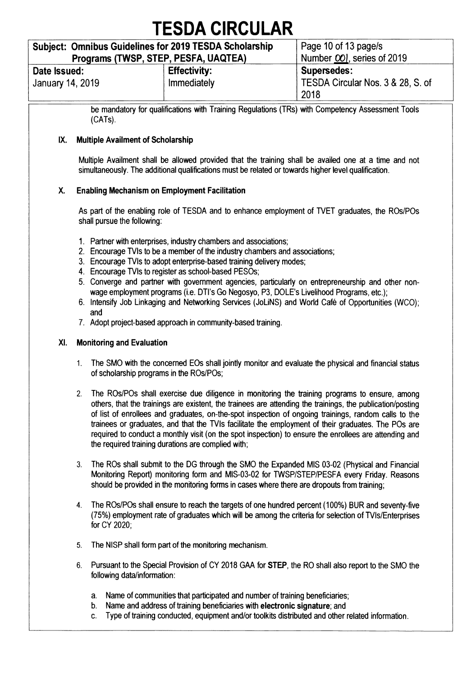### **Subject: Omnibus Guidelines for 2019 TESDA Scholarship**

**Programs (TWSP, STEP, PESFA, UAQTEA) Page 10 of 13 page/s**  Number OOI, series of 2019 **Date Issued: January 14, 2019 Effectivity: Immediately Supersedes: TESDA Circular Nos. 3 & 28, S. of 2018** 

**be mandatory for qualifications with Training Regulations (TRs) with Competency Assessment Tools (CATs).** 

### **IX. Multiple Availment of Scholarship**

**Multiple Availment shall be allowed provided that the training shall be availed one at a time and not simultaneously. The additional qualifications must be related or towards higher level qualification.** 

### **X. Enabling Mechanism on Employment Facilitation**

**As part of the enabling role of TESDA and to enhance employment of WET graduates, the ROs/POs shall pursue the following:** 

- **1. Partner with enterprises, industry chambers and associations;**
- **2. Encourage TV's to be a member of the industry chambers and associations;**
- **3. Encourage TVIs to adopt enterprise-based training delivery modes;**
- **4. Encourage TVIs to register as school-based PESOs;**
- **5. Converge and partner with government agencies, particularly on entrepreneurship and other nonwage employment programs (i.e. DTI's Go Negosyo, P3, DOLE's Livelihood Programs, etc.);**
- **6. Intensify Job Linkaging and Networking Services (JoLiNS) and World Café of Opportunities (WC0); and**
- **7. Adopt project-based approach in community-based training.**

#### **Xl. Monitoring and Evaluation**

- **1. The SMO with the concerned E0s shall jointly monitor and evaluate the physical and financial status of scholarship programs in the ROs/POs;**
- **2. The ROs/POs shall exercise due diligence in monitoring the training programs to ensure, among others, that the trainings are existent, the trainees are attending the trainings, the publication/posting of list of enrollees and graduates, on-the-spot inspection of ongoing trainings, random calls to the trainees or graduates, and that the TVIs facilitate the employment of their graduates. The POs are required to conduct a monthly visit (on the spot inspection) to ensure the enrollees are attending and the required training durations are complied with;**
- **3. The ROs shall submit to the DG through the SMO the Expanded MIS 03-02 (Physical and Financial Monitoring Report) monitoring form and MIS-03-02 for TWSP/STEP/PESFA every Friday. Reasons should be provided in the monitoring forms in cases where there are dropouts from training;**
- **4. The ROs/POs shall ensure to reach the targets of one hundred percent (100%) BUR and seventy-five (75%) employment rate of graduates which will be among the criteria for selection of TVIs/Enterprises for CY 2020;**
- **5. The NISP shall form part of the monitoring mechanism.**
- **6. Pursuant to the Special Provision of CY 2018 GAA for STEP, the RO shall also report to the SMO the following data/information:** 
	- **a. Name of communities that participated and number of training beneficiaries;**
	- **b. Name and address of training beneficiaries with electronic signature; and**
	- **c. Type of training conducted, equipment and/or toolkits distributed and other related information.**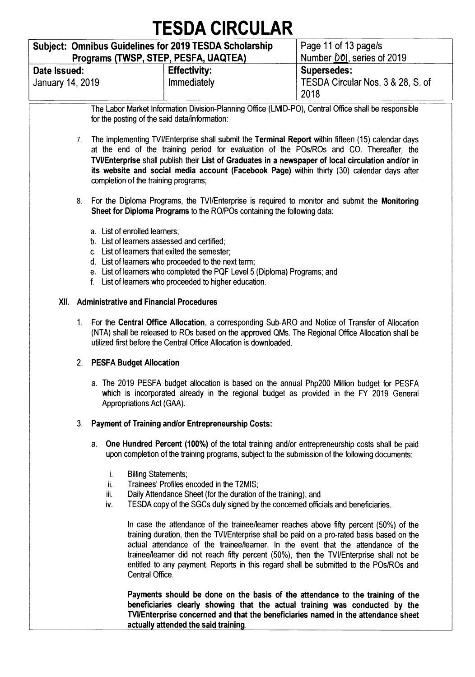| <b>Subject: Omnibus Guidelines for 2019 TESDA Scholarship</b><br>Programs (TWSP, STEP, PESFA, UAQTEA) |                                    | Page 11 of 13 page/s<br>Number 00, series of 2019               |
|-------------------------------------------------------------------------------------------------------|------------------------------------|-----------------------------------------------------------------|
| Date Issued:<br>January 14, 2019                                                                      | <b>Effectivity:</b><br>Immediately | <b>Supersedes:</b><br>TESDA Circular Nos. 3 & 28, S. of<br>2018 |

**The Labor Market Information Division-Planning Office (LMID-PO), Central Office shall be responsible for the posting of the said data/information:** 

- **7. The implementing TVI/Enterprise shall submit the Terminal Report within fifteen (15) calendar days at the end of the training period for evaluation of the POs/ROs and CO. Thereafter, the PA/Enterprise shall publish their List of Graduates in a newspaper of local circulation and/or in its website and social media account (Facebook Page) within thirty (30) calendar days after completion of the training programs;**
- **8. For the Diploma Programs, the TVI/Enterprise is required to monitor and submit the Monitoring Sheet for Diploma Programs to the RO/POs containing the following data:** 
	- **a. List of enrolled learners;**
	- **b. List of learners assessed and certified;**
	- **c. List of learners that exited the semester;**
	- **d. List of learners who proceeded to the next term;**
	- **e. List of learners who completed the PQF Level 5 (Diploma) Programs; and**
	- **f. List of learners who proceeded to higher education.**

#### **XII. Administrative and Financial Procedures**

**1. For the Central Office Allocation, a corresponding Sub-ARO and Notice of Transfer of Allocation (NTA) shall be released to ROs based on the approved QMs. The Regional Office Allocation shall be utilized first before the Central Office Allocation is downloaded.** 

#### **2. PESFA Budget Allocation**

**a. The 2019 PESFA budget allocation is based on the annual Php200 Million budget for PESFA which is incorporated already in the regional budget as provided in the FY 2019 General**  Appropriations Act (GAA).

#### **3. Payment of Training and/or Entrepreneurship Costs:**

- **a. One Hundred Percent (100%) of the total training and/or entrepreneurship costs shall be paid upon completion of the training programs, subject to the submission of the following documents:** 
	- **i. Billing Statements;**
	- **ii. Trainees' Profiles encoded in the T2MIS;**
	- **iii. Daily Attendance Sheet (for the duration of the training); and**
	- **iv. TESDA copy of the SGCs duly signed by the concerned officials and beneficiaries.**

**In case the attendance of the trainee/learner reaches above fifty percent (50%) of the training duration, then the TVI/Enterprise shall be paid on a pro-rated basis based on the actual attendance of the trainee/learner. In the event that the attendance of the trainee/learner did not reach fifty percent (50%), then the TVI/Enterprise shall not be entitled to any payment. Reports in this regard shall be submitted to the POs/ROs and Central Office.** 

**Payments should be done on the basis of the attendance to the training of the beneficiaries clearly showing that the actual training was conducted by the NI/Enterprise concerned and that the beneficiaries named in the attendance sheet actually attended the said training.**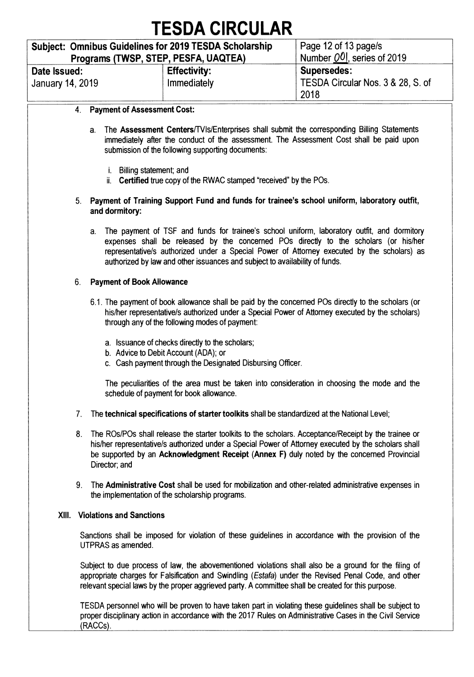|                                  | TEJUA VIRUULAR                                                                                 |                                                                 |
|----------------------------------|------------------------------------------------------------------------------------------------|-----------------------------------------------------------------|
|                                  | Subject: Omnibus Guidelines for 2019 TESDA Scholarship<br>Programs (TWSP, STEP, PESFA, UAQTEA) | Page 12 of 13 page/s<br>Number $[00]$ , series of 2019          |
| Date Issued:<br>January 14, 2019 | <b>Effectivity:</b><br>Immediately                                                             | <b>Supersedes:</b><br>TESDA Circular Nos. 3 & 28, S. of<br>2018 |
|                                  | <b>Payment of Accessment Cost:</b>                                                             |                                                                 |

#### **4. Payment of Assessment Cost:**

- **a. The Assessment Centers/TVIs/Enterprises shall submit the corresponding Billing Statements immediately after the conduct of the assessment. The Assessment Cost shall be paid upon submission of the following supporting documents:** 
	- **i. Billing statement; and**
	- **ii. Certified true copy of the RWAC stamped "received" by the POs.**

#### **5. Payment of Training Support Fund and funds for trainee's school uniform, laboratory outfit, and dormitory:**

**a. The payment of TSF and funds for trainee's school uniform, laboratory outfit, and dormitory expenses shall be released by the concerned POs directly to the scholars (or his/her representative/s authorized under a Special Power of Attorney executed by the scholars) as authorized by law and other issuances and subject to availability of funds.** 

#### **6. Payment of Book Allowance**

- **6.1. The payment of book allowance shall be paid by the concerned POs directly to the scholars (or his/her representative/s authorized under a Special Power of Attorney executed by the scholars) through any of the following modes of payment:** 
	- **a. Issuance of checks directly to the scholars;**
	- **b. Advice to Debit Account (ADA); or**
	- **c. Cash payment through the Designated Disbursing Officer.**

**The peculiarities of the area must be taken into consideration in choosing the mode and the schedule of payment for book allowance.** 

- **7. The technical specifications of starter toolkits shall be standardized at the National Level;**
- **8. The ROs/POs shall release the starter toolkits to the scholars. Acceptance/Receipt by the trainee or his/her representative/s authorized under a Special Power of Attorney executed by the scholars shall be supported by an Acknowledgment Receipt (Annex F) duly noted by the concerned Provincial Director; and**
- **9. The Administrative Cost shall be used for mobilization and other-related administrative expenses in the implementation of the scholarship programs.**

#### **XIII. Violations and Sanctions**

**Sanctions shall be imposed for violation of these guidelines in accordance with the provision of the UTPRAS as amended.** 

**Subject to due process of law, the abovementioned violations shall also be a ground for the filing of appropriate charges for Falsification and Swindling (Estafa) under the Revised Penal Code, and other relevant special laws by the proper aggrieved party. A committee shall be created for this purpose.** 

**TESDA personnel who will be proven to have taken part in violating these guidelines shall be subject to proper disciplinary action in accordance with the 2017 Rules on Administrative Cases in the Civil Service (RACCs).**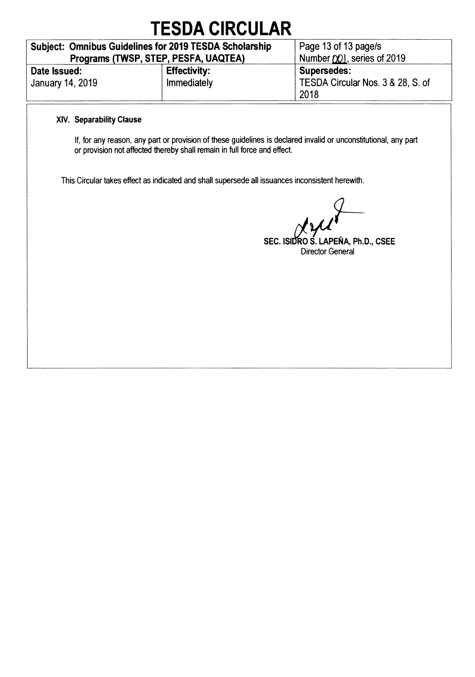| <b>Subject: Omnibus Guidelines for 2019 TESDA Scholarship</b> | Page 13 of 13 page/s               |                                                                 |
|---------------------------------------------------------------|------------------------------------|-----------------------------------------------------------------|
| Programs (TWSP, STEP, PESFA, UAQTEA)                          | Number (X), series of 2019         |                                                                 |
| Date Issued:<br>January 14, 2019                              | <b>Effectivity:</b><br>Immediately | <b>Supersedes:</b><br>TESDA Circular Nos. 3 & 28, S. of<br>2018 |

### **XIV. Separability Clause**

**If, for any reason, any part or provision of these guidelines is declared invalid or unconstitutional, any part or provision not affected thereby shall remain in full force and effect.** 

**This Circular takes effect as indicated and shall supersede all issuances inconsistent herewith.** 

**<sup>j</sup>i***-----* 

**7 — SEC. ISI6R0 S. LAPERA, Ph.D., CSEE Director General**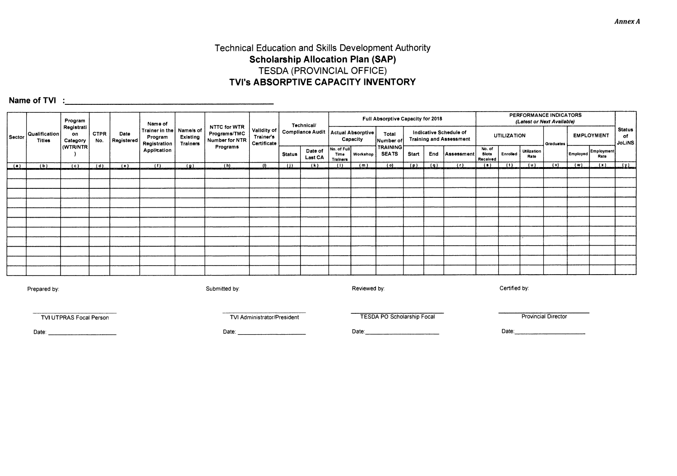### **Technical Education and Skills Development Authority Scholarship Allocation Plan (SAP) TESDA (PROVINCIAL OFFICE) TVI's ABSORPTIVE CAPACITY INVENTORY**

**Name of TVI** : **1980 • 2008** • 2008 • 2019 • 2019 • 2019 • 2019 • 2019 • 2019 • 2019 • 2019 • 2019 • 2019 • 2019 • 2019 • 2019 • 2019 • 2019 • 2019 • 2019 • 2019 • 2019 • 2019 • 2019 • 2019 • 2019 • 2019 • 2019 • 2019 • 2

|               |                         | Program                      |                    |     | Name of                   |                                                       |                             |                                                |                                         | Technical/                |                                        |          | Full Absorptive Capacity for 2018                   |       |     |            |                                                          |          | PERFORMANCE INDICATORS<br>(Latest or Next Available) |     |           |                           |                   |                               |
|---------------|-------------------------|------------------------------|--------------------|-----|---------------------------|-------------------------------------------------------|-----------------------------|------------------------------------------------|-----------------------------------------|---------------------------|----------------------------------------|----------|-----------------------------------------------------|-------|-----|------------|----------------------------------------------------------|----------|------------------------------------------------------|-----|-----------|---------------------------|-------------------|-------------------------------|
| Sector        | Qualification<br>Titles | Registrati<br>on<br>Category | <b>CTPR</b><br>No. |     | Date<br><b>Registered</b> | Trainer in the   Name/s of<br>Program<br>Registration | Existing<br><b>Trainers</b> | NTTC for WTR<br>Programs/TMC<br>Number for NTR | Validity of<br>Trainer's<br>Certificate | <b>Compliance Audit</b>   |                                        |          | Actual Absorptive<br>Total<br>Capacity<br>Number of |       |     |            | Indicative Schedule of<br><b>Training and Assessment</b> |          | <b>UTILIZATION</b>                                   |     | Graduates |                           | <b>EMPLOYMENT</b> | <b>Status</b><br>of<br>JoLiNS |
|               |                         | (WTR/NTR)                    |                    |     | Application               |                                                       | Programs                    |                                                | <b>Status</b>                           | Date of<br><b>Last CA</b> | No. of Full<br>Time<br><b>Trainers</b> | Workshop | <b>TRAINING</b><br><b>SEATS</b>                     | Start | End | Assessment | No. of<br><b>Slots</b><br>Received                       | Enrolled | <b>Utilization</b><br>Rate                           |     | Employed  | <b>Employment</b><br>Rate |                   |                               |
| $\frac{a}{a}$ | $\overline{b}$          | (c)                          | (d)                | (e) | (1)                       | $\left( q\right)$                                     | (h)                         | $^{\prime}$                                    | (1)                                     | (k)                       | (1)                                    | (m)      | (0)                                                 | (p)   | (9) | (1)        | (s)                                                      | (1)      | (u)                                                  | (v) | ( w )     | (x)                       | (x)               |                               |
|               |                         |                              |                    |     |                           |                                                       |                             |                                                |                                         |                           |                                        |          |                                                     |       |     |            |                                                          |          |                                                      |     |           |                           |                   |                               |
|               |                         |                              |                    |     |                           |                                                       |                             |                                                |                                         |                           |                                        |          |                                                     |       |     |            |                                                          |          |                                                      |     |           |                           |                   |                               |
|               |                         |                              |                    |     |                           |                                                       |                             |                                                |                                         |                           |                                        |          |                                                     |       |     |            |                                                          |          |                                                      |     |           |                           |                   |                               |
|               |                         |                              |                    |     |                           |                                                       |                             |                                                |                                         |                           |                                        |          |                                                     |       |     |            |                                                          |          |                                                      |     |           |                           |                   |                               |
|               |                         |                              |                    |     |                           |                                                       |                             |                                                |                                         |                           |                                        |          |                                                     |       |     |            |                                                          |          |                                                      |     |           |                           |                   |                               |
|               |                         |                              |                    |     |                           |                                                       |                             |                                                |                                         |                           |                                        |          |                                                     |       |     |            |                                                          |          |                                                      |     |           |                           |                   |                               |
|               |                         |                              |                    |     |                           |                                                       |                             |                                                |                                         |                           |                                        |          |                                                     |       |     |            |                                                          |          |                                                      |     |           |                           |                   |                               |
|               |                         |                              |                    |     |                           |                                                       |                             |                                                |                                         |                           |                                        |          |                                                     |       |     |            |                                                          |          |                                                      |     |           |                           |                   |                               |
|               |                         |                              |                    |     |                           |                                                       |                             |                                                |                                         |                           |                                        |          |                                                     |       |     |            |                                                          |          |                                                      |     |           |                           |                   |                               |
|               |                         |                              |                    |     |                           |                                                       |                             |                                                |                                         |                           |                                        |          |                                                     |       |     |            |                                                          |          |                                                      |     |           |                           |                   |                               |
|               |                         |                              |                    |     |                           |                                                       |                             |                                                |                                         |                           |                                        |          |                                                     |       |     |            |                                                          |          |                                                      |     |           |                           |                   |                               |
|               |                         |                              |                    |     |                           |                                                       |                             |                                                |                                         |                           |                                        |          |                                                     |       |     |            |                                                          |          |                                                      |     |           |                           |                   |                               |

Prepared by:

Submitted by:

Reviewed by:

Certified by:

TVI UTPRAS Focal Person

TVI Administrator/President

TESDA PO Scholarship Focal

**Provincial Director** 

Date:

Date:

Date: **Date:** 

Date: 2008

**Annex A**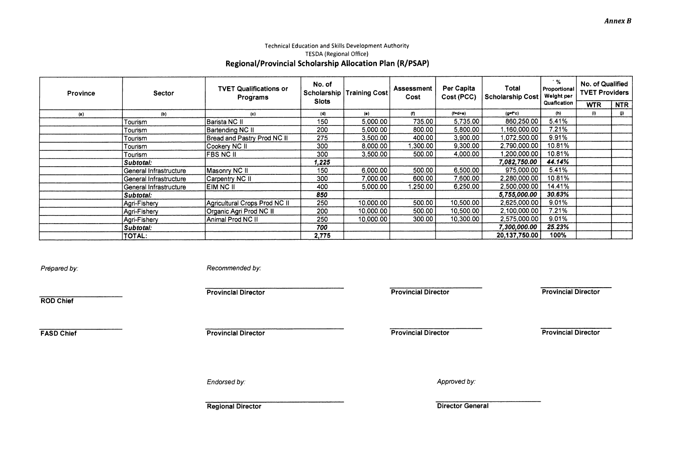#### Technical Education and Skills Development Authority TESDA (Regional Office) **Regional/Provincial Scholarship Allocation Plan (R/PSAP)**

| Province | <b>Sector</b>          | <b>TVET Qualifications or</b><br>Programs | No. of<br>Scholarship<br><b>Slots</b> | <b>Training Cost</b> | Assessment<br>Cost | Per Capita<br>Cost (PCC) | Total<br><b>Scholarship Cost</b> | $\cdot$ %<br>Proportional<br>Weight per | No. of Qualified<br><b>TVET Providers</b> |            |
|----------|------------------------|-------------------------------------------|---------------------------------------|----------------------|--------------------|--------------------------|----------------------------------|-----------------------------------------|-------------------------------------------|------------|
|          |                        |                                           |                                       |                      |                    |                          |                                  | Quafication                             | <b>WTR</b>                                | <b>NTR</b> |
| (a)      | (b)                    | (c)                                       | (d)                                   | (e)                  | (f)                | $(f= d+e)$               | $(g=f^*c)$                       | (h)                                     | (i)                                       | $\bf{0}$   |
|          | Tourism                | Barista NC II                             | 150                                   | 5.000.00             | 735.00             | 5.735.00                 | 860,250.00                       | 5.41%                                   |                                           |            |
|          | Tourism                | Bartending NC II                          | 200                                   | 5,000.00             | 800.00             | 5.800.00                 | 1.160.000.00                     | 7.21%                                   |                                           |            |
|          | Tourism                | Bread and Pastry Prod NC II               | 275                                   | 3,500.00             | 400.00             | 3.900.00                 | 1.072.500.00                     | 9.91%                                   |                                           |            |
|          | Tourism                | Cookery NC II                             | 300                                   | 8,000.00             | 1.300.00           | 9.300.00                 | 2.790,000.00                     | 10.81%                                  |                                           |            |
|          | Tourism                | <b>FBS NC II</b>                          | 300                                   | 3,500.00             | 500.00             | 4.000.00                 | 1,200,000.00                     | 10.81%                                  |                                           |            |
|          | Subtotal:              |                                           | 1.225                                 |                      |                    |                          | 7,082,750.00                     | 44.14%                                  |                                           |            |
|          | General Infrastructure | Masonry NC II                             | 150                                   | 6,000.00             | 500.00             | 6,500.00                 | 975,000.00                       | 5.41%                                   |                                           |            |
|          | General Infrastructure | Carpentry NC II                           | 300                                   | 7,000.00             | 600.00             | 7.600.00                 | 2,280,000.00                     | 10.81%                                  |                                           |            |
|          | General Infrastructure | IEIM NC II                                | 400                                   | 5.000.00             | 1.250.00           | 6.250.00                 | 2.500.000.00                     | 14.41%                                  |                                           |            |
|          | Subtotal:              |                                           | 850                                   |                      |                    |                          | 5,755,000.00                     | 30.63%                                  |                                           |            |
|          | Agri-Fishery           | Agricultural Crops Prod NC II             | 250                                   | 10,000.00            | 500.00             | 10,500.00                | 2.625,000.00                     | 9.01%                                   |                                           |            |
|          | Agri-Fishery           | Organic Agri Prod NC II                   | 200                                   | 10,000.00            | 500.00             | 10,500.00                | 2,100,000.00                     | 7.21%                                   |                                           |            |
|          | Agri-Fishery           | Animal Prod NC II                         | 250                                   | 10.000.00            | 300.00             | 10,300.00                | 2.575.000.00                     | 9.01%                                   |                                           |            |
|          | Subtotal:              |                                           | 700                                   |                      |                    |                          | 7,300,000.00                     | 25.23%                                  |                                           |            |
|          | TOTAL:                 |                                           | 2.775                                 |                      |                    |                          | 20,137,750.00                    | 100%                                    |                                           |            |

Prepared by: Prepared by: Recommended by:

Provincial Director **Provincial Director** Provincial Director **Provincial Director** Provincial Director

**ROD Chief** 

**FASD Chief Provincial Director** Provincial Director Provincial Director Provincial Director Provincial Director

Endorsed by:  $\blacksquare$ 

**Regional Director Ceneral Accord Director General Accord Director General Accord Director General Accord Director General Accord Director General Accord Director General Accord Director General Accord Director General Acc**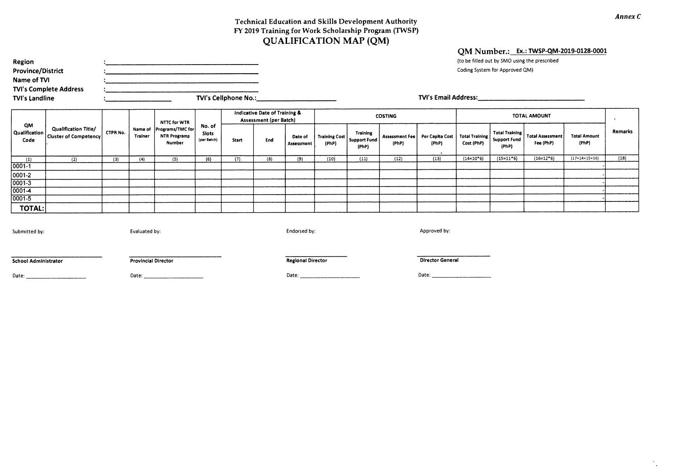#### **Technical Education and Skills Development Authority FY 2019 Training for Work Scholarship Program (TWSP) QUALIFICATION MAP (QM)**

| Region                        |                      | (to be filled out by SMO using the prescribed |
|-------------------------------|----------------------|-----------------------------------------------|
| <b>Province/District</b>      |                      | Coding System for Approved QM)                |
| Name of TVI                   |                      |                                               |
| <b>TVI's Complete Address</b> |                      |                                               |
| TVI's Landline                | TVI's Cellphone No.: | <b>TVI's Email Address:</b>                   |

**QM Number.: Ex.: TWSP-QM-2019-0128-0001** 

**QM Qualification Code Qualification Title/ Cluster of Competency CTPR No. Name of Programs/TMC for Trainer NTTC for WTR NTR Programs Number No. of Slots (per Batch) Indicative Date of Training & Assessment (per Batch) COSTING COSTING COSTING COSTING COSTING AMOUNT • Remarks Start End Date of Assessment Training Cost (PhP) Training Support Fund (PhP) Assessment Fee (PhP) Per Capita Cost (PhP) Total Training Cost (PhP) Total Training Support Fund (PhP) Total Assessment Fee (PhP) Total Amount (PhP) , (1) (2) ( 3) (4) (5) (6) (7) (8)** (9) (10) (11) **(12) (13) (14=10.6) (15=11\*6) (16=12\*6)** (17=14.15.16) **(18) 0001-1 - 0001-2 - 0001-3 - 0001-4 - 0001-5 - TOTAL:** 

Submitted by: example and the state of the state of the state of the state of the state of the state of the state of the state of the state of the state of the state of the state of the state of the state of the state of t

**School Administrator Provincial Director Regional Director Regional Director Provincial Director Regional Director Regional Director Ceneral <b>Provincial Director Regional Director** Regional Director **Provincial Director** 

Date: Date: Date: Date:

*Annex C* 

 $\bullet$  $\sim$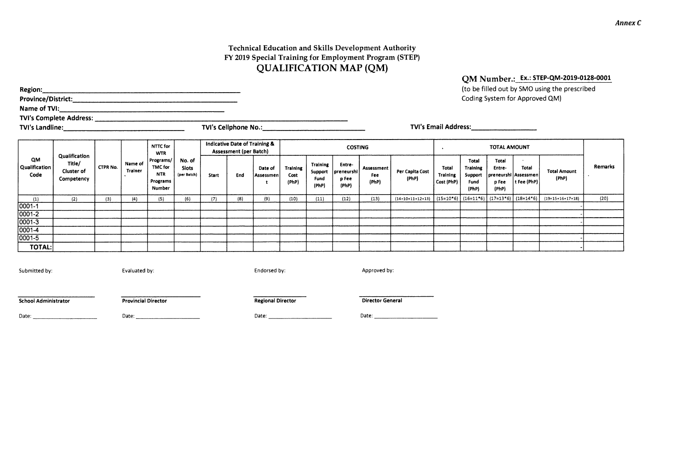#### **Technical Education and Skills Development Authority FY 2019 Special Training for Employment Program (STEP) QUALIFICATION MAP (QM)**

**(to be** filled out by SMO using the prescribed **Region: Province/District:**  Coding System for Approved QM) **Name of TVI: TVI's Complete Address: TVI's Landline: TVI's Cellphone No.: TVI's Email Address: Indicative Date of Training & NTTC for COSTING . TOTAL AMOUNT Assessment (per Batch) WTR Qualification QM Programs/**  No. **of Total Total** 

| QM<br>Qualification<br>Code | Qualification<br>Title/<br>Cluster of<br>Competency | <b>CTPR No.</b> | Name of<br>Trainer | .<br>Programs/<br>TMC for<br><b>NTR</b><br>Programs<br>Number | No. of<br><b>Slots</b><br>(per Batch) | Start | End | Date of<br>Assessmen | Training<br>Cost<br>(PhP) | <b>Training</b><br>Support<br>Fund<br>(PhP) | <b>Entre</b><br>  preneurshi<br>p Fee<br>(PhP) | Assessment<br>Fee<br>(PhP) | Per Capita Cost<br>(PhP)                                           | Total<br><b>Training</b><br>Cost (PhP) | Total<br><b>Training</b><br>Support<br>Fund<br>(PhP) | Total<br>Entre-<br>  preneurshi   Assessmen<br>p Fee<br>(PhP) | Total<br>$ $ t Fee (PhP) | <b>Total Amount</b><br>(PhP) | Remarks |
|-----------------------------|-----------------------------------------------------|-----------------|--------------------|---------------------------------------------------------------|---------------------------------------|-------|-----|----------------------|---------------------------|---------------------------------------------|------------------------------------------------|----------------------------|--------------------------------------------------------------------|----------------------------------------|------------------------------------------------------|---------------------------------------------------------------|--------------------------|------------------------------|---------|
| (1)                         | (2)                                                 | (3)             | (4)                | (5)                                                           | (6)                                   | (7)   | (8) | (9)                  | (10)                      | (11)                                        | (12)                                           | (13)                       | $(14=10+11+12+13)$ $(15=10*6)$ $(16=11*6)$ $(17=13*6)$ $(18=14*6)$ |                                        |                                                      |                                                               |                          | $(19=15+16+17+18)$           | (20)    |
| 0001-1                      |                                                     |                 |                    |                                                               |                                       |       |     |                      |                           |                                             |                                                |                            |                                                                    |                                        |                                                      |                                                               |                          |                              |         |
| $0001 - 2$                  |                                                     |                 |                    |                                                               |                                       |       |     |                      |                           |                                             |                                                |                            |                                                                    |                                        |                                                      |                                                               |                          |                              |         |
| $0001 - 3$                  |                                                     |                 |                    |                                                               |                                       |       |     |                      |                           |                                             |                                                |                            |                                                                    |                                        |                                                      |                                                               |                          |                              |         |
| $0001 - 4$                  |                                                     |                 |                    |                                                               |                                       |       |     |                      |                           |                                             |                                                |                            |                                                                    |                                        |                                                      |                                                               |                          |                              |         |
| $0001 - 5$                  |                                                     |                 |                    |                                                               |                                       |       |     |                      |                           |                                             |                                                |                            |                                                                    |                                        |                                                      |                                                               |                          |                              |         |
| TOTAL:                      |                                                     |                 |                    |                                                               |                                       |       |     |                      |                           |                                             |                                                |                            |                                                                    |                                        |                                                      |                                                               |                          |                              |         |
|                             |                                                     |                 |                    |                                                               |                                       |       |     |                      |                           |                                             |                                                |                            |                                                                    |                                        |                                                      |                                                               |                          |                              |         |

Submitted by: Evaluated by: Endorsed by: Approved by:

**School Administrator Christianus Christianus Provincial Director Christianus Christianus Christianus Christianus Provincial Director Christianus Christianus Christianus Christianus Provincial Director Christianus Christia** 

Date: Date: Date: Date:

**QM Number.: Ex.: STEP-QM-2019-0128-0001**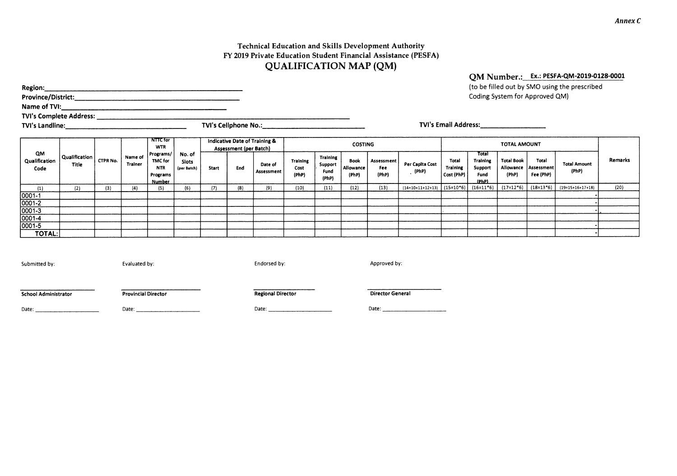#### **Technical Education and Skills Development Authority FY 2019 Private Education Student Financial Assistance (PESFA) QUALIFICATION MAP (QM)**

| Region:                        |                               |                 |                    |                                       |                      |                                                                |         |                           |                     |                                                                               |            |                 |                                                     |                  | (to be filled out by SMO using |                            |
|--------------------------------|-------------------------------|-----------------|--------------------|---------------------------------------|----------------------|----------------------------------------------------------------|---------|---------------------------|---------------------|-------------------------------------------------------------------------------|------------|-----------------|-----------------------------------------------------|------------------|--------------------------------|----------------------------|
| <b>Province/District:</b>      |                               |                 |                    |                                       |                      |                                                                |         |                           |                     |                                                                               |            |                 |                                                     |                  | Coding System for Approved     |                            |
| Name of TVI:                   |                               |                 |                    |                                       |                      |                                                                |         |                           |                     |                                                                               |            |                 |                                                     |                  |                                |                            |
| <b>TVI's Complete Address:</b> |                               |                 |                    |                                       |                      |                                                                |         |                           |                     |                                                                               |            |                 |                                                     |                  |                                |                            |
| <b>TVI's Landline:</b>         |                               |                 |                    |                                       |                      | <b>TVI's Cellphone No.:</b>                                    |         |                           |                     |                                                                               |            |                 | <b>TVI's Email Address:</b>                         |                  |                                |                            |
|                                |                               |                 |                    | <b>NTTC</b> for<br><b>WTR</b>         |                      | Indicative Date of Training &<br><b>Assessment (per Batch)</b> |         |                           |                     | <b>COSTING</b>                                                                |            |                 |                                                     |                  | <b>TOTAL AMOUNT</b>            |                            |
| QM<br>Qualification            | Qualification<br><b>Title</b> | <b>CTPR No.</b> | Name of<br>Trainer | Programs/<br>TMC for<br><b>A.M.M.</b> | No. of<br>Slots<br>. |                                                                | Date of | Training<br>$\sim$ $\sim$ | Training<br>Support | Book<br>$\bullet$ $\bullet$ $\bullet$ $\bullet$ $\bullet$ $\bullet$ $\bullet$ | Assessment | Per Capita Cost | Total<br><b>Contract Contract Contract Contract</b> | Tota<br>Training | <b>Total Book</b>              | Total<br>مستستندم والمتناف |

| <b>TVI's Landline:</b>      |                        |                 |                    | TVI's Cellphone No.:                                            |                                       |                                                                |     |                       |                                  | <b>TVI's Email Address:</b>                 |                                   |                            |                                |                                        |                                                      |                            |                                            |                              |         |
|-----------------------------|------------------------|-----------------|--------------------|-----------------------------------------------------------------|---------------------------------------|----------------------------------------------------------------|-----|-----------------------|----------------------------------|---------------------------------------------|-----------------------------------|----------------------------|--------------------------------|----------------------------------------|------------------------------------------------------|----------------------------|--------------------------------------------|------------------------------|---------|
|                             |                        |                 |                    | <b>NTTC</b> for<br><b>WTR</b>                                   |                                       | Indicative Date of Training &<br><b>Assessment (per Batch)</b> |     | <b>COSTING</b>        |                                  |                                             |                                   |                            |                                |                                        |                                                      |                            |                                            |                              |         |
| QM<br>Qualification<br>Code | Qualification<br>Title | <b>CTPR No.</b> | Name of<br>Trainer | Programs/<br>TMC for<br><b>NTR</b><br>Programs<br><b>Number</b> | No. of<br><b>Slots</b><br>(per Batch) | Start                                                          | End | Date of<br>Assessment | <b>Training</b><br>Cost<br>(PhP) | <b>Training</b><br>Support<br>Fund<br>(PhP) | <b>Book</b><br>Allowance<br>(PhP) | Assessment<br>Fee<br>(PhP) | Per Capita Cost<br>(PhP)       | Total<br><b>Training</b><br>Cost (PhP) | Total<br><b>Training</b><br>Support<br>Fund<br>(PhP) | <b>Total Book</b><br>(PhP) | Total<br>Allowance Assessment<br>Fee (PhP) | <b>Total Amount</b><br>(PhP) | Remarks |
| (1)                         | (2)                    | (3)             | (4)                | (5)                                                             | (6)                                   | (7)                                                            | (8) | (9)                   | (10)                             | (11)                                        | (12)                              | (13)                       | $(14=10+11+12+13)$ $(15=10*6)$ |                                        | $(16=11*6)$                                          | $(17=12*6)$                | $(18=13*6)$                                | $(19=15+16+17+18)$           | (20)    |
| 0001-1                      |                        |                 |                    |                                                                 |                                       |                                                                |     |                       |                                  |                                             |                                   |                            |                                |                                        |                                                      |                            |                                            |                              |         |
| 0001-2                      |                        |                 |                    |                                                                 |                                       |                                                                |     |                       |                                  |                                             |                                   |                            |                                |                                        |                                                      |                            |                                            |                              |         |
| $[0001 - 3]$                |                        |                 |                    |                                                                 |                                       |                                                                |     |                       |                                  |                                             |                                   |                            |                                |                                        |                                                      |                            |                                            |                              |         |
| 0001-4                      |                        |                 |                    |                                                                 |                                       |                                                                |     |                       |                                  |                                             |                                   |                            |                                |                                        |                                                      |                            |                                            |                              |         |
| $ 0001 - 5 $                |                        |                 |                    |                                                                 |                                       |                                                                |     |                       |                                  |                                             |                                   |                            |                                |                                        |                                                      |                            |                                            |                              |         |
| TOTAL:                      |                        |                 |                    |                                                                 |                                       |                                                                |     |                       |                                  |                                             |                                   |                            |                                |                                        |                                                      |                            |                                            |                              |         |

Submitted by: Evaluated by: Example by: Example by: Endorsed by: Approved by: Approved by:

**School Administrator Provincial Director Regional Director Regional Director Director General** 

Date: Date: Date: Date:

**QM Number.: Ex.: PESFA-QM-2019-0128-0001** 

ng the prescribed  $|QM\rangle$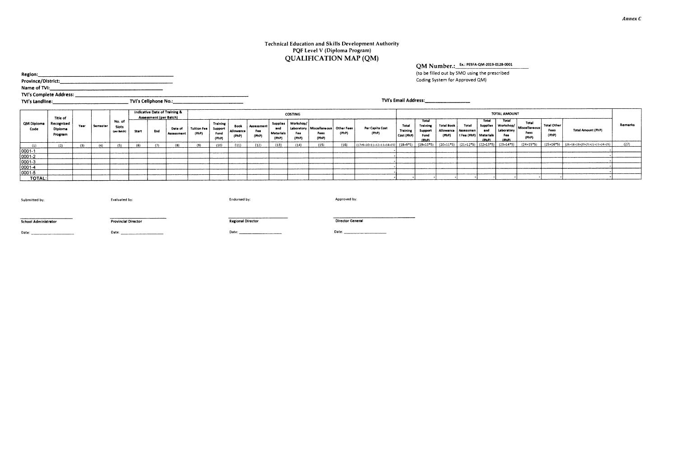#### **Technical Education and Skills Development Authority PQF Level V (Diploma Program) QUALIFICATION MAP (QM)**

### **QM Number.: PESFA-QM-2019-0128-0001**

(to be filled out by SMO using the prescribed Coding System for Approved QM)

**Region: Province/District:** 

**Name of TVI:** 

**TVI's Complete Address: TVI's Landline: TVI's Cellphone No.:** 

|                    | Title of                         |      |          |                                |       | <b>Assessment (per Batch)</b> | Indicative Date of Training & |                      |                                             |                                   |                                   |                                  | COSTING                               |                                                          |       |                                                                                                 |                                 |                                               |                                                       |                                  |                                   | TOTAL AMOUNT                          |                                                         |                                     |                                            |         |
|--------------------|----------------------------------|------|----------|--------------------------------|-------|-------------------------------|-------------------------------|----------------------|---------------------------------------------|-----------------------------------|-----------------------------------|----------------------------------|---------------------------------------|----------------------------------------------------------|-------|-------------------------------------------------------------------------------------------------|---------------------------------|-----------------------------------------------|-------------------------------------------------------|----------------------------------|-----------------------------------|---------------------------------------|---------------------------------------------------------|-------------------------------------|--------------------------------------------|---------|
| QM Diploma<br>Code | Recognized<br>Diploma<br>Program | Year | Semester | No. of<br>Slots<br>(per Batch) | Start | End                           | Date of<br><b>Assessment</b>  | Tuition Fee<br>(PhP) | <b>Training</b><br>Support<br>Fund<br>(PhP) | <b>Book</b><br>Allowance<br>(PhP) | <b>Assessment</b><br>Fee<br>(PhP) | end<br><b>Materials</b><br>(PhP) | Supplies   Workshop/<br>Fee:<br>(PhP) | Laboratory   Miscellaneous   Other Fees<br>Fees<br>(PhP) | (PhP) | Per Capita Cost<br>(PhP)                                                                        | Total<br>Training<br>Cost (PhP) | Total<br>Training<br>Support<br>Fund<br>(PhP) | <b>Total Book</b><br>Allowance   Assessmen  <br>(PhP) | Total<br>t Fee (PhP)   Materials | Total<br>Supplies<br>and<br>(PhP) | Total<br>Laboratory<br>Fee:<br>(IhhP) | Total<br>  Workshop/   Miscellaneous  <br>Fees<br>(PhP) | <b>Total Other</b><br>Fees<br>(PhP) | <b>Total Amount (PhP)</b>                  | Remarks |
| (1)                |                                  |      |          |                                | (6)   |                               |                               |                      |                                             | (11)                              | (12)                              | (13)                             | (14)                                  | (15)                                                     | (16)  | (17=9+10+11+12+13+14+15)   (18=9*5)   (19=10*5)   (20=11*5)   (21=12*5)   (22=13*5)   (23=14*5) |                                 |                                               |                                                       |                                  |                                   |                                       | $(24=15*5)$                                             |                                     | $(25=16*5)$ $(26=18+19+20+21+22+23+24+25)$ | (27)    |
| 0001-1             |                                  |      |          |                                |       |                               |                               |                      |                                             |                                   |                                   |                                  |                                       |                                                          |       |                                                                                                 |                                 |                                               |                                                       |                                  |                                   |                                       |                                                         |                                     |                                            |         |
| 0001-2             |                                  |      |          |                                |       |                               |                               |                      |                                             |                                   |                                   |                                  |                                       |                                                          |       |                                                                                                 |                                 |                                               |                                                       |                                  |                                   |                                       |                                                         |                                     |                                            |         |
| 0001-3             |                                  |      |          |                                |       |                               |                               |                      |                                             |                                   |                                   |                                  |                                       |                                                          |       |                                                                                                 |                                 |                                               |                                                       |                                  |                                   |                                       |                                                         |                                     |                                            |         |
| 0001-4             |                                  |      |          |                                |       |                               |                               |                      |                                             |                                   |                                   |                                  |                                       |                                                          |       |                                                                                                 |                                 |                                               |                                                       |                                  |                                   |                                       |                                                         |                                     |                                            |         |
| 0001-5             |                                  |      |          |                                |       |                               |                               |                      |                                             |                                   |                                   |                                  |                                       |                                                          |       |                                                                                                 |                                 |                                               |                                                       |                                  |                                   |                                       |                                                         |                                     |                                            |         |
| <b>TOTAL:</b>      |                                  |      |          |                                |       |                               |                               |                      |                                             |                                   |                                   |                                  |                                       |                                                          |       |                                                                                                 |                                 |                                               |                                                       |                                  |                                   |                                       |                                                         |                                     |                                            |         |

| Submitted by:               | Evaluated by:              | Endorsed by:             | Approved by:            |
|-----------------------------|----------------------------|--------------------------|-------------------------|
|                             |                            |                          |                         |
|                             |                            |                          |                         |
| <b>School Administrator</b> | <b>Provincial Director</b> | <b>Regional Director</b> | <b>Director General</b> |
|                             |                            |                          |                         |

**TVI's Email Address:**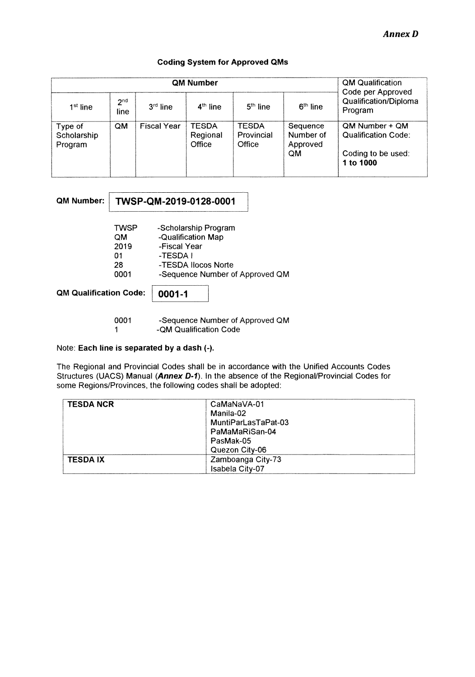#### **Coding System for Approved QMs**

|                                   |                         |                    | QM Qualification                   |                                      |                                         |                                                                    |
|-----------------------------------|-------------------------|--------------------|------------------------------------|--------------------------------------|-----------------------------------------|--------------------------------------------------------------------|
| $1st$ line                        | 2 <sup>nd</sup><br>line | $3rd$ line         | $4th$ line                         | $5th$ line                           | $6th$ line                              | Code per Approved<br>Qualification/Diploma<br>Program              |
| Type of<br>Scholarship<br>Program | QM                      | <b>Fiscal Year</b> | <b>TESDA</b><br>Regional<br>Office | <b>TESDA</b><br>Provincial<br>Office | Sequence<br>Number of<br>Approved<br>QM | QM Number + QM<br><b>Qualification Code:</b><br>Coding to be used: |
|                                   |                         |                    |                                    |                                      |                                         | 1 to 1000                                                          |

| QM Number:                    |                                        | TWSP-QM-2019-0128-0001                                                                        |                                 |
|-------------------------------|----------------------------------------|-----------------------------------------------------------------------------------------------|---------------------------------|
|                               | TWSP<br>QM<br>2019<br>01<br>28<br>0001 | -Scholarship Program<br>-Qualification Map<br>-Fiscal Year<br>-TESDA I<br>-TESDA Ilocos Norte | -Sequence Number of Approved QM |
| <b>QM Qualification Code:</b> |                                        | 0001-1                                                                                        |                                 |

0001 -Sequence Number of Approved QM 1 -QM Qualification Code

#### Note: **Each line is separated by a dash (-).**

The Regional and Provincial Codes shall be in accordance with the Unified Accounts Codes Structures (UACS) Manual (Annex D-1). In the absence of the Regional/Provincial Codes for some Regions/Provinces, the following codes shall be adopted:

| <b>TESDA NCR</b> | CaMaNaVA-01         |
|------------------|---------------------|
|                  | Manila-02           |
|                  | MuntiParLasTaPat-03 |
|                  | PaMaMaRiSan-04      |
|                  | PasMak-05           |
|                  | Quezon City-06      |
| <b>TESDA IX</b>  | Zamboanga City-73   |
|                  | Isabela City-07     |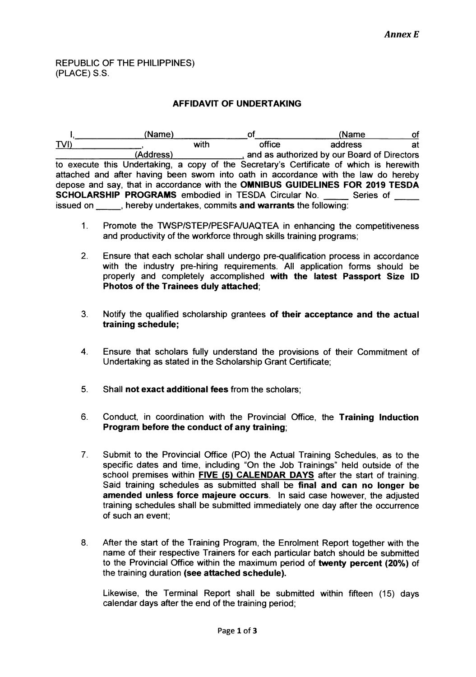#### REPUBLIC OF THE PHILIPPINES) (PLACE) S.S.

#### **AFFIDAVIT OF UNDERTAKING**

(Name) of (Name of the of the of the of the of the of the of the of the of the of the of the of the of the of the of the of the of the of the of the of the of the of the of the of the of the of the of the of the of the of  $\mathbf{l}$ TVI) with office address at (Address) and as authorized by our Board of Directors (Address) to execute this Undertaking, a copy of the Secretary's Certificate of which is herewith attached and after having been sworn into oath in accordance with the law do hereby depose and say, that in accordance with the **OMNIBUS GUIDELINES FOR 2019 TESDA SCHOLARSHIP PROGRAMS** embodied in TESDA Circular No. \_\_\_\_\_ Series of issued on  $\qquad \qquad$ , hereby undertakes, commits **and warrants** the following:

- 1. Promote the TWSP/STEP/PESFA/UAQTEA in enhancing the competitiveness and productivity of the workforce through skills training programs;
- 2. Ensure that each scholar shall undergo pre-qualification process in accordance with the industry pre-hiring requirements. All application forms should be properly and completely accomplished **with the latest Passport Size ID Photos of the Trainees duly attached;**
- 3. Notify the qualified scholarship grantees **of their acceptance and the actual training schedule;**
- 4. Ensure that scholars fully understand the provisions of their Commitment of Undertaking as stated in the Scholarship Grant Certificate;
- 5. Shall **not exact additional fees** from the scholars;
- 6. Conduct, in coordination with the Provincial Office, the **Training Induction Program before the conduct of any training;**
- 7. Submit to the Provincial Office (PO) the Actual Training Schedules, as to the specific dates and time, including "On the Job Trainings" held outside of the school premises within **FIVE (5) CALENDAR DAYS** after the start of training. Said training schedules as submitted shall be **final and can no longer be amended unless force majeure occurs.** In said case however, the adjusted training schedules shall be submitted immediately one day after the occurrence of such an event;
- 8. After the start of the Training Program, the Enrolment Report together with the name of their respective Trainers for each particular batch should be submitted to the Provincial Office within the maximum period of **twenty percent (20%)** of the training duration **(see attached schedule).**

Likewise, the Terminal Report shall be submitted within fifteen (15) days calendar days after the end of the training period;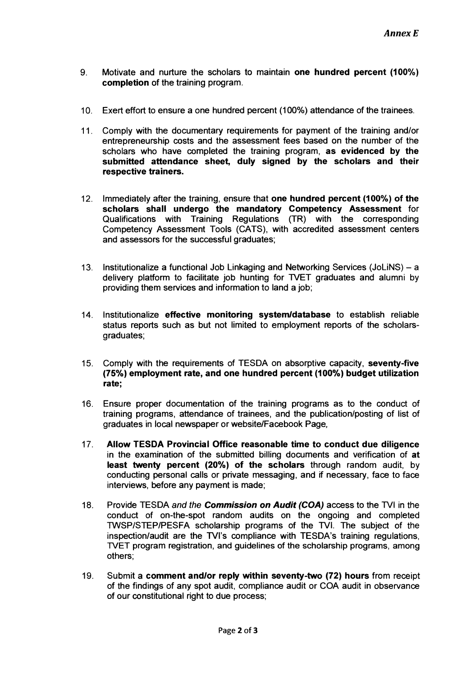- **9. Motivate and nurture the scholars to maintain one hundred percent (100%) completion of the training program.**
- **10. Exert effort to ensure a one hundred percent (100%) attendance of the trainees.**
- **11. Comply with the documentary requirements for payment of the training and/or entrepreneurship costs and the assessment fees based on the number of the scholars who have completed the training program, as evidenced by the submitted attendance sheet, duly signed by the scholars and their respective trainers.**
- **12. Immediately after the training, ensure that one hundred percent (100%) of the scholars shall undergo the mandatory Competency Assessment for Qualifications with Training Regulations (TR) with the corresponding Competency Assessment Tools (CATS), with accredited assessment centers and assessors for the successful graduates;**
- **13. Institutionalize a functional Job Linkaging and Networking Services (JoLiNS) a delivery platform to facilitate job hunting for TVET graduates and alumni by providing them services and information to land a job;**
- **14. Institutionalize effective monitoring system/database to establish reliable status reports such as but not limited to employment reports of the scholarsgraduates;**
- **15. Comply with the requirements of TESDA on absorptive capacity, seventy-five (75%) employment rate, and one hundred percent (100%) budget utilization rate;**
- **16. Ensure proper documentation of the training programs as to the conduct of training programs, attendance of trainees, and the publication/posting of list of graduates in local newspaper or website/Facebook Page,**
- **17. Allow TESDA Provincial Office reasonable time to conduct due diligence in the examination of the submitted billing documents and verification of at least twenty percent (20%) of the scholars through random audit, by conducting personal calls or private messaging, and if necessary, face to face interviews, before any payment is made;**
- **18. Provide TESDA and the Commission on Audit (COA) access to the WI in the conduct of on-the-spot random audits on the ongoing and completed TWSP/STEP/PESFA scholarship programs of the TVI. The subject of the inspection/audit are the TVI's compliance with TESDA's training regulations, TVET program registration, and guidelines of the scholarship programs, among others;**
- **19. Submit a comment and/or reply within seventy-two (72) hours from receipt of the findings of any spot audit, compliance audit or COA audit in observance of our constitutional right to due process;**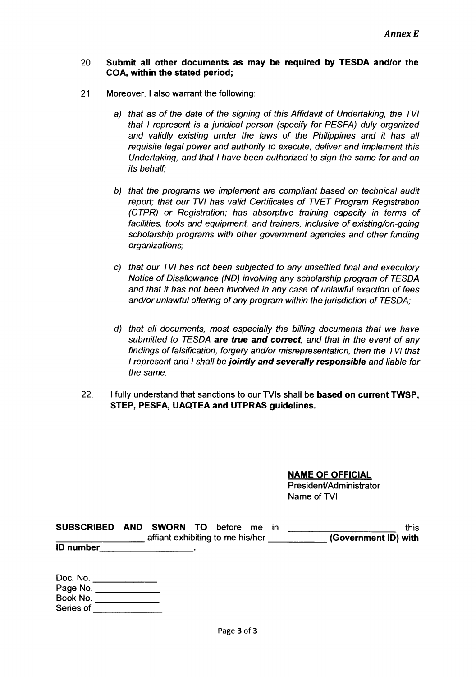#### **20. Submit all other documents as may be required by TESDA and/or the COA, within the stated period;**

- **21. Moreover, I also warrant the following:** 
	- a) that as of the date of the signing of this Affidavit of Undertaking, the TVI that I represent is a juridical person (specify for PESFA) duly organized and validly existing under the laws of the Philippines and it has all requisite legal power and authority to execute, deliver and implement this Undertaking, and that I have been authorized to sign the same for and on its behalf;
	- b) that the programs we implement are compliant based on technical audit report; that our TVI has valid Certificates of TVET Program Registration (CTPR) or Registration; has absorptive training capacity in terms of facilities, tools and equipment, and trainers, inclusive of existing/on-going scholarship programs with other government agencies and other funding organizations;
	- c) that our TVI has not been subjected to any unsettled final and executory Notice of Disallowance (ND) involving any scholarship program of TESDA and that it has not been involved in any case of unlawful exaction of fees and/or unlawful offering of any program within the jurisdiction of TESDA;
	- d) that all documents, most especially the billing documents that we have submitted to TESDA **are true and correct,** and that in the event of any findings of falsification, forgery and/or misrepresentation, then the TVI that I represent and I shall be **jointly and severally responsible** and liable for the same.
- **22. I fully understand that sanctions to our TVIs shall be based on current TWSP, STEP, PESFA, UAQTEA and UTPRAS guidelines.**

**NAME OF OFFICIAL** 

**President/Administrator Name of TVI** 

| <b>SUBSCRIBED</b> | AND SWORN TO                     | before me in |  | this                 |
|-------------------|----------------------------------|--------------|--|----------------------|
|                   | affiant exhibiting to me his/her |              |  | (Government ID) with |
| <b>ID</b> number  |                                  |              |  |                      |

| Doc. No.  |  |
|-----------|--|
| Page No.  |  |
| Book No.  |  |
| Series of |  |